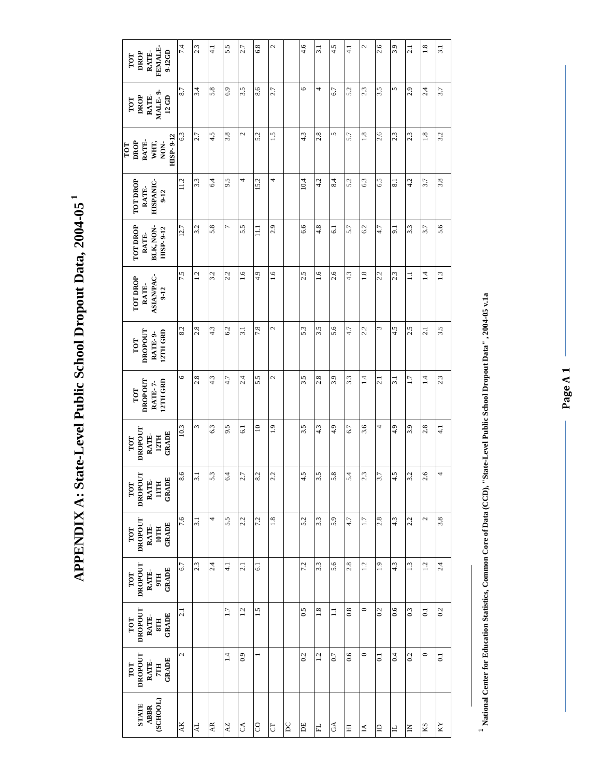APPENDIX A: State-Level Public School Dropout Data, 2004-05<sup>1</sup> **APPENDIX A: State-Level Public School Dropout Data, 2004-05 1**

| FEMALE-<br>9-12GD<br>RATE-<br>DROP<br>TOT                    | 74      | 2.3              | $\frac{1}{4}$ | 5.5              | 2.7              | 6.8             | 2              |           | $\frac{4.6}{4}$  | 3.1 | 4.5                       | $\frac{1}{4}$ | $\mathcal{L}$   | 2.6            | 3.9                      | 2.1          | $\frac{8}{1}$   | 3.1            |
|--------------------------------------------------------------|---------|------------------|---------------|------------------|------------------|-----------------|----------------|-----------|------------------|-----|---------------------------|---------------|-----------------|----------------|--------------------------|--------------|-----------------|----------------|
| RATE-<br>MALE-9-<br><b>DROP</b><br>$12\text{ G}D$<br>TOT     | 8.7     | 3.4              | 5.8           | 6.9              | 3.5              | 8.6             | 2.7            |           | $\circ$          | 4   | 6.7                       | 5.2           | 2.3             | 3.5            | 5                        | 2.9          | 2.4             | 3.7            |
| HISP-9-12<br>RATE-<br>DROP<br>WHT,<br>NON-<br>ror            | 6.3     | 2.7              | 4.5           | 3.8              | 2                | 5.2             | 1.5            |           | $4.\overline{3}$ | 2.8 | 5                         | 5.7           | $\frac{8}{1}$   | 2.6            | 2.3                      | 2.3          | 1.8             | 3.2            |
| <b>TOT DROP</b><br>HISPANIC-<br>RATE-<br>$9 - 12$            | 11.2    | 3.3              | 6.4           | 9.5              | 4                | 15.2            | 4              |           | 10.4             | 4.2 | 8.4                       | 5.2           | 6.3             | 6.5            | $\overline{\phantom{0}}$ | 4.2          | 3.7             | 3.8            |
| <b>TOT DROP</b><br>BLK, NON-<br>HISP-9-12<br>RATE-           | 12.7    | 3.2              | 5.8           | $\overline{ }$   | 5.5              | $\Xi$           | 2.9            |           | 6.6              | 4.8 | $\overline{61}$           | 5.7           | 6.2             | 4.7            | 9.1                      | 3.3          | 3.7             | 5.6            |
| <b>ASIANPAC-</b><br><b>TOT DROP</b><br>RATE-<br>$9 - 12$     | 7.5     | 1.2              | 3.2           | 2.2              | 1.6              | 4.9             | $\frac{6}{1}$  |           | 2.5              | 1.6 | 2.6                       | 4.3           | $\frac{8}{1}$   | 2.2            | 2.3                      | $\Xi$        | $\overline{14}$ | 1.3            |
| 12TH GRD<br>DROPOUT<br>RATE-9-<br>TOT                        | 8.2     | 2.8              | 4.3           | 6.2              | 3.1              | 7.8             | 2              |           | 5.3              | 3.5 | 5.6                       | 4.7           | 2.2             | ξ              | 4.5                      | 2.5          | 21              | 3.5            |
| 12TH GRD<br>DROPOUT<br>RATE-7-<br>TOT                        | $\circ$ | 2.8              | 4.3           | 4.7              | 2.4              | 5.5             | 2              |           | 3.5              | 2.8 | 3.9                       | 3.3           | $\vec{=}$       | 2.1            | $\overline{3.1}$         | 1.7          | $\overline{14}$ | 2.3            |
| DROPOUT<br>GRADE<br>RATE-<br>12TH<br>TOT                     | 10.3    | 3                | 6.3           | 9.5              | $\overline{6}$ . | $\overline{10}$ | $\ddot{1}$ .   |           | 3.5              | 4.3 | 4.9                       | 6.7           | 3.6             | 4              | 4.9                      | 3.9          | 2.8             | $\frac{1}{4}$  |
| DROPOUT<br><b>GRADE</b><br>RATE-<br>$11$ TH<br>TOT           | 8.6     | 3.1              | 5.3           | 6.4              | 2.7              | 8.2             | 2.2            |           | 4.5              | 3.5 | 5.8                       | 5.4           | 2.3             | 3.7            | 4.5                      | 3.2          | 2.6             |                |
| DROPOUT<br><b>IOTH</b><br>GRADE<br>RATE-<br>TOT              | 7.6     | $\overline{3.1}$ | 4             | 5.5              | 2.2              | 7.2             | 1.8            |           | 5.2              | 3.3 | 5.9                       | 4.7           | 1.7             | 2.8            | 4.3                      | 2.2          | 2               | 3.8            |
| TOT<br>DROPOUT<br>GRADE<br>RATE-<br>9TH                      | 6.7     | 2.3              | 2.4           | $\frac{1}{4}$    | 2.1              | $\overline{61}$ |                |           | 7.2              | 3.3 | 5.6                       | 2.8           | $\overline{12}$ | $\ddot{0}$     | 4.3                      | 1.3          | 1.2             | 2.4            |
| <b>DROPOUT</b><br>STH<br>GRADE<br>RATE-<br>TOT               | 2.1     |                  |               | $\overline{11}$  | 1.2              | 1.5             |                |           | 0.5              | 1.8 | $\Xi$                     | 0.8           | $\circ$         | 0.2            | 0.6                      | 0.3          | $\overline{0}$  | 0.2            |
| DROPOUT<br>GRADE<br>RATE-<br>TOT<br>$7\mathrm{T} \mathrm{H}$ | 2       |                  |               | $\overline{1.4}$ | 0.9              |                 |                |           | 0.2              | 12  | 0.7                       | 0.6           | $\circ$         | $\overline{c}$ | 0.4                      | 0.2          | $\circ$         | $\overline{0}$ |
| (SCHOOL)<br><b>STATE</b><br><b>ABBR</b>                      | AK      | $\overline{A}$   | AR            | $A\overline{Z}$  | $\mathcal{L}$    | SO              | $\overline{C}$ | <b>DC</b> | Б                | 닌   | $\mathbb{C}^{\mathbb{A}}$ | Ξ             | $\triangle$     | $\triangle$    | $\exists$                | $\mathsf{K}$ | KS              | KY             |

 $^1$  National Center for Education Statistics, Common Core of Data (CCD), "State-Level Public School Dropout Data", 2004-05 v.1a **National Center for Education Statistics, Common Core of Data (CCD), "State-Level Public School Dropout Data" , 2004-05 v.1a**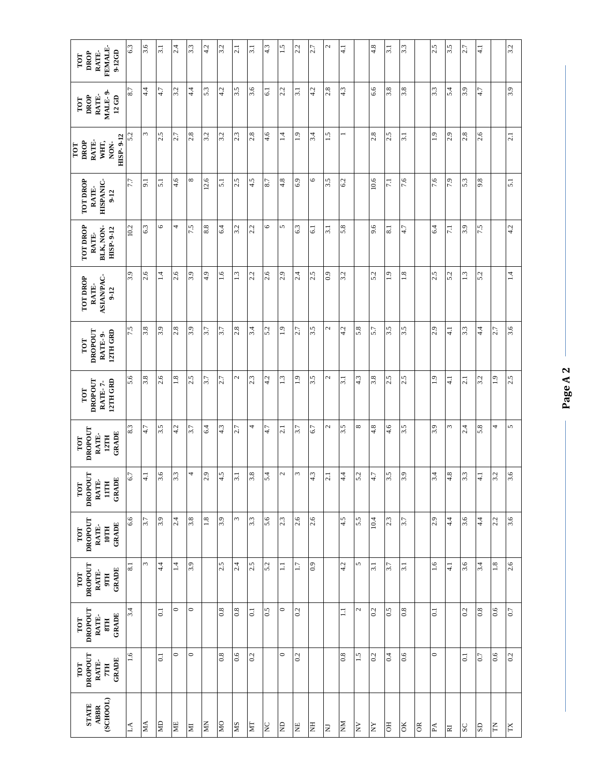| FEMALE-<br>9-12GD<br>RATE-<br>DROP<br>TOT                 | 6.3              | 3.6           | $\overline{3.1}$ | 2.4             | $3.\overline{3}$ | 4.2        | 3.2             | 2.1      | 3.1              | 4.3             | 1.5       | 2.2              | 2.7             | 2                       | $\frac{1}{4}$ |              | 4.8              | <b>1:5</b>       | 3.3      |           | 2.5            | 3.5                   | 2.7              | $\frac{1}{4}$ |             | 3.2       |
|-----------------------------------------------------------|------------------|---------------|------------------|-----------------|------------------|------------|-----------------|----------|------------------|-----------------|-----------|------------------|-----------------|-------------------------|---------------|--------------|------------------|------------------|----------|-----------|----------------|-----------------------|------------------|---------------|-------------|-----------|
| MALE-9<br>RATE-<br>DROP<br>$12\,\mathrm{GD}$<br>TOT       | 8.7              | 4.4           | 4.7              | 3.2             | 4.4              | 5.3        | 4.2             | 3.5      | 3.6              | $\overline{61}$ | 2.2       | $\overline{3.1}$ | 4.2             | 2.8                     | 4.3           |              | 6.6              | 3.8              | 3.8      |           | 3.3            | 5.4                   | 3.9              | 4.7           |             | 3.9       |
| DROP<br>RATE-<br>WHT,<br>NON-<br>TOT                      | 5.2<br>HISP-9-12 | ω             | 2.5              | 2.7             | 2.8              | 3.2        | 3.2             | 2.3      | 2.8              | $-4.6$          | $\vec{=}$ | $\frac{1}{2}$    | 3.4             | 1.5                     | ÷             |              | 2.8              | 2.5              | 3.1      |           | $\frac{1}{2}$  | 2.9                   | 2.8              | 2.6           |             | 2.1       |
| <b>TOT DROP</b><br>HISPANIC-<br>RATE-<br>$9 - 12$         | $7.7\,$          | 9.1           | $\overline{51}$  | $\frac{4.6}{4}$ | ${}^{\circ}$     | 12.6       | $\overline{51}$ | 2.5      | 4.5              | 8.7             | 4.8       | 6.9              | 6               | 3.5                     | 6.2           |              | $10.6$           | $\overline{7.1}$ | 7.6      |           | 7.6            | 7.9                   | 5.3              | 9.8           |             | 5.1       |
| <b>TOT DROP</b><br>BLK, NON-<br>HISP-9-12<br>RATE-        | 10.2             | 6.3           | 6                | 4               | 7.5              | 8.8        | 6.4             | 3.2      | 2.2              | 6               | 5         | 6.3              | $\overline{61}$ | 3.1                     | 5.8           |              | 9.6              | $\approx$        | 4.7      |           | 6.4            | $\overline{7.1}$      | 3.9              | 7.5           |             | 4.2       |
| <b>ASIANPAC-</b><br><b>TOT DROP</b><br>RATE-<br>$9-12$    | 3.9              | 2.6           | $\vec{=}$        | 2.6             | 3.9              | 4.9        | $\frac{6}{1}$   | 1.3      | 2.2              | 2.6             | 2.9       | 2.4              | 2.5             | 0.9                     | 3.2           |              | 5.2              | $\frac{0}{2}$    | 1.8      |           | 2.5            | 5.2                   | 1.3              | 5.2           |             | $\vec{=}$ |
| 12TH GRD<br>DROPOUT<br>RATE-9-<br>TOT                     | 7.5              | 3.8           | 3.9              | 2.8             | 3.9              | 5.7        | 3.7             | 2.8      | 3.4              | 5.2             | 1.9       | 2.7              | 3.5             | 2                       | 4.2           | 5.8          | 5.7              | 3.5              | 3.5      |           | 2.9            | $\frac{1}{4}$         | 3.3              | $4\cdot$      | 2.7         | 3.6       |
| 12TH GRD<br><b>DROPOUT</b><br>RATE-7-<br>TOT              | 5.6              | 3.8           | 2.6              | 1.8             | 2.5              | 3.7        | 2.7             | 2        | 2.3              | 4.2             | 1.3       | $\frac{1}{2}$    | 3.5             | 2                       | <b>1:5</b>    | 4.3          | 3.8              | 2.5              | 2.5      |           | $\frac{1}{2}$  | $\frac{1}{4}$         | 2.1              | 3.2           | 1.9         | 2.5       |
| DROPOUT<br>GRADE<br>RATE-<br>12TH<br>TOT                  | 8.3              | 4.7           | 3.5              | 4.2             | 3.7              | 6.4        | 4.3             | 2.7      | 4                | 47              | 2.1       | 3.7              | 6.7             | 2                       | 3.5           | ${}^{\circ}$ | 4.8              | $\frac{4.6}{4}$  | 3.5      |           | 3.9            | 3                     | 2.4              | 5.8           | 4           | 5         |
| <b>DROPOUT</b><br><b>GRADE</b><br>RATE-<br>$11$ TH<br>TOT | 6.7              | $\frac{1}{4}$ | 3.6              | 3.3             | 4                | 2.9        | 4.5             | 3.1      | 3.8              | 5.4             | 2         | 3                | 4.3             | 2.1                     | 4.4           | 5.2          | 4.7              | 3.5              | 3.9      |           | 3.4            | 4.8                   | 3.3              | $\frac{1}{4}$ | 3.2         | 3.6       |
| DROPOUT<br>GRADE<br>RATE-<br>10TH<br>TOT                  | 6.6              | 3.7           | 3.9              | 2.4             | 3.8              | $1.8\,$    | 3.9             | Σ        | 3.3              | 5.6             | 2.3       | 2.6              | 2.6             |                         | 4.5           | 5.5          | 10.4             | 2.3              | 5.7      |           | 2.9            | 4.4                   | 3.6              | $\frac{4}{4}$ | 2.2         | 3.6       |
| DROPOUT<br>GRADE<br>RATE-<br>TOT<br>9TH                   | 8.1              | $\omega$      | $\dot{4}$        | $\overline{14}$ | 3.9              |            | 2.5             | 2.4      | 2.5              | 5.2             | $\equiv$  | $\overline{1.7}$ | 0.9             |                         | 4.2           | 5            | $\overline{3.1}$ | 3.7              | 3.1      |           | $\frac{6}{1}$  | $\frac{1}{4}$         | 3.6              | 3.4           | 1.8         | 2.6       |
| DROPOUT<br>GRADE<br>RATE-<br>TOT<br>8TH                   | 3.4              |               | $\overline{0}$   | $\circ$         | $\circ$          |            | 0.8             | $_{0.8}$ | $\overline{0}$ . | 0.5             | $\circ$   | 0.2              |                 |                         | $\equiv$      | $\mathbf{C}$ | 0.2              | 0.5              | 0.8      |           | $\overline{c}$ |                       | 0.2              | 0.8           | 0.6         | $0.7\,$   |
| DROPOUT<br>GRADE<br>RATE-<br>TOT<br><b>HIL</b>            | 1.6              |               | $\overline{0}$   | $\circ$         | $\circ$          |            | 0.8             | 0.6      | 0.2              |                 | $\circ$   | 0.2              |                 |                         | 8.0           | 1.5          | 0.2              | 0.4              | 0.6      |           | $\circ$        |                       | $\overline{0}$ . | 0.7           | 0.6         | 0.2       |
| (SCHOOL)<br><b>STATE</b><br><b>ABBR</b>                   | $\Delta$         | <b>NN</b>     | QN               | <b>NE</b>       | $\mathbb N$      | <b>NIV</b> | ON              | SM       | <b>INL</b>       | $\rm _Z$        | <b>GN</b> | <b>HN</b>        | HN              | $\overline{\mathbf{N}}$ | <b>NN</b>     | ΛN           | $_{\rm NN}$      | <b>FO</b>        | $\alpha$ | <b>OR</b> | $\mathbb A$    | $\overline{\text{R}}$ | $_{\rm SC}$      | GS            | $\mathbb H$ | TX        |

**Page A 2**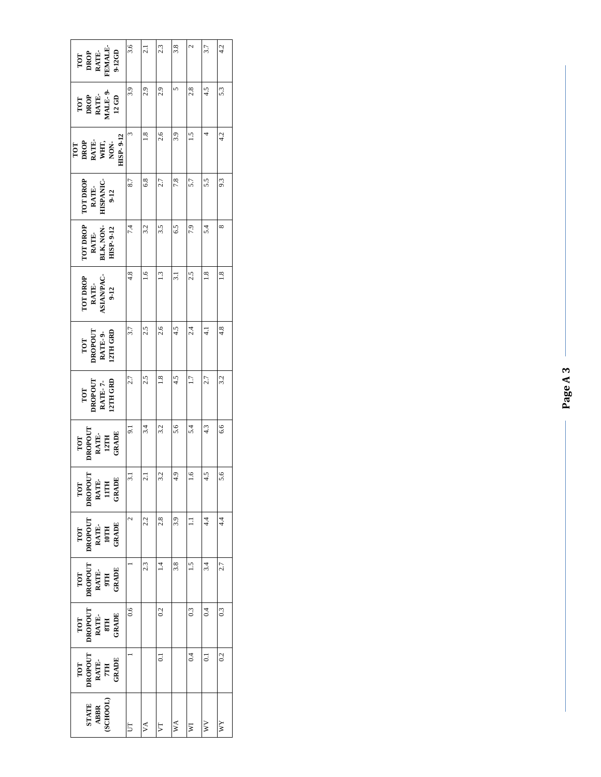| TOT<br>DROP<br>RATE-<br>FEMALE-<br>9-12GD          | 3.6                   | 2.1           | 2.3            | 3.8 | $\mathcal{L}$   | 3.7              | 4.2            |
|----------------------------------------------------|-----------------------|---------------|----------------|-----|-----------------|------------------|----------------|
| TOT<br>DROP<br>RATE-<br>MALE-9-<br>$12 \text{ G}D$ | 3.9                   | 2.9           | 2.9            |     | 2.8             | 4.5              | 53             |
| <b>IISP-9-12</b><br>DROP<br>RATE,<br>WHT,<br>TOT   | $\tilde{\phantom{0}}$ | $\frac{8}{1}$ | 2.6            | 3.9 | 1.5             |                  | 4.2            |
| <b>OT DROP</b><br>HSPANIC-<br>RATE-<br>$9 - 12$    | 8.7                   | 6.8           | 2.7            | 7.8 | 5.7             | 5.5              | 9.3            |
| <b>TOT DROP</b><br>BLK, NON-<br>HISP-9-12<br>RATE- | 7.4                   | 3.2           | 3.5            | 6.5 | 7.9             | 5.4              | ${}^{\circ}$   |
| TOT DROP<br>RATE-<br>ASIANPAC-<br>1 9-12           | 4.8                   | $\frac{6}{1}$ | $\frac{13}{2}$ | ಸ   | 2.5             | $\frac{8}{1}$    | $\frac{8}{1}$  |
| <b>DROPOUT<br/>RATE- 9-<br/>12TH GRD</b><br>TOT    | 3.7                   | 2.5           | 2.6            | 4.5 | 2.4             |                  | 4.8            |
| DROPOUT<br>RATE- 7-<br>12TH GRD<br>TOT             | 2.7                   | 2.5           | $\frac{8}{18}$ | 4.5 | $\overline{17}$ | 2.7              | 3.2            |
| DROPOUT<br>RATE-<br>12TH<br>GRADE<br>TOT           | $\overline{9}$ .      | 3.4           | 3.2            | 5.6 | 5.4             | 4.3              | 6.6            |
| DROPOUT<br>RATE-<br>IITH<br>CRADE<br>TOT           | $\frac{1}{2}$         |               | 3.2            | Q   | Ğ.              |                  | ৹<br>n         |
| <b>DROPOUT<br/>RATE-<br/>10TH<br/>CRADE</b><br>TOT | $\mathbf{\hat{c}}$    | 2.2           | 2.8            | 3.9 | Ξ               | 4.4              | 4.4            |
| DROPOUT<br>RATE-<br>9TH<br>GRADE<br>TOT            |                       | 2.3           |                | 3.8 | $\tilde{=}$     | 3.4              | 2.7            |
| DROPOUT<br>RATE-<br>STH<br>GRADE<br>TOT            | 0.6                   |               | 0.2            |     | 0.3             | $\overline{0.4}$ | $\overline{0}$ |
| DROPOUT<br>RATE-<br>7TH<br>GRADE<br>TOT            |                       |               | $\overline{c}$ |     | 0.4             | $\overline{0}$   | 0.2            |
| SCHOOL)<br>STATE<br>ABBR                           | $\Box$                | VA            | VT             | WA  | ¥               | $\overline{W}$   | XX             |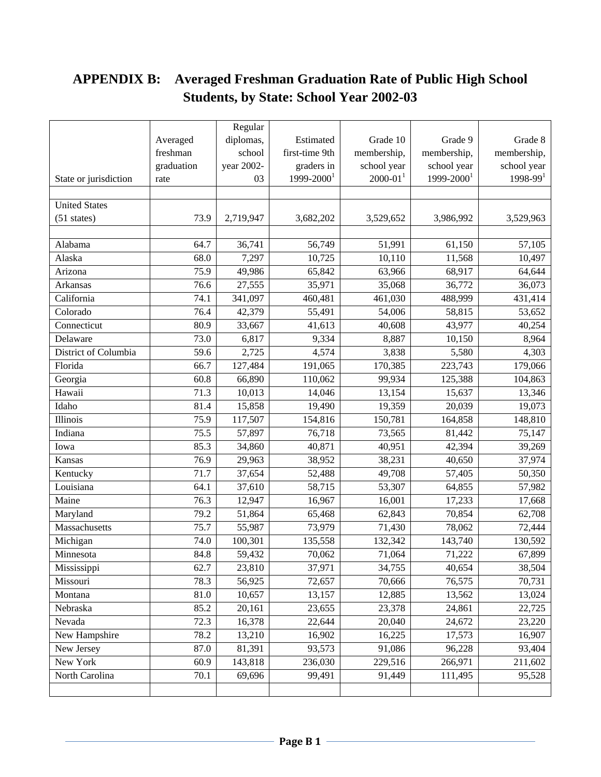# **APPENDIX B: Averaged Freshman Graduation Rate of Public High School Students, by State: School Year 2002-03**

|                       |            | Regular    |                |                          |                        |              |
|-----------------------|------------|------------|----------------|--------------------------|------------------------|--------------|
|                       | Averaged   | diplomas,  | Estimated      | Grade 10                 | Grade 9                | Grade 8      |
|                       | freshman   | school     | first-time 9th | membership,              | membership,            | membership,  |
|                       | graduation | year 2002- | graders in     | school year              | school year            | school year  |
| State or jurisdiction | rate       | 03         | $1999 - 20001$ | $2000 - 01$ <sup>1</sup> | 1999-2000 <sup>1</sup> | $1998 - 991$ |
|                       |            |            |                |                          |                        |              |
| <b>United States</b>  |            |            |                |                          |                        |              |
| $(51$ states)         | 73.9       | 2,719,947  | 3,682,202      | 3,529,652                | 3,986,992              | 3,529,963    |
|                       |            |            |                |                          |                        |              |
| Alabama               | 64.7       | 36,741     | 56,749         | 51,991                   | 61,150                 | 57,105       |
| Alaska                | 68.0       | 7,297      | 10,725         | 10,110                   | 11,568                 | 10,497       |
| Arizona               | 75.9       | 49,986     | 65,842         | 63,966                   | 68,917                 | 64,644       |
| Arkansas              | 76.6       | 27,555     | 35,971         | 35,068                   | 36,772                 | 36,073       |
| California            | 74.1       | 341,097    | 460,481        | 461,030                  | 488,999                | 431,414      |
| Colorado              | 76.4       | 42,379     | 55,491         | 54,006                   | 58,815                 | 53,652       |
| Connecticut           | 80.9       | 33,667     | 41,613         | 40,608                   | 43,977                 | 40,254       |
| Delaware              | 73.0       | 6,817      | 9,334          | 8,887                    | 10,150                 | 8,964        |
| District of Columbia  | 59.6       | 2,725      | 4,574          | 3,838                    | 5,580                  | 4,303        |
| Florida               | 66.7       | 127,484    | 191,065        | 170,385                  | 223,743                | 179,066      |
| Georgia               | 60.8       | 66,890     | 110,062        | 99,934                   | 125,388                | 104,863      |
| Hawaii                | 71.3       | 10,013     | 14,046         | 13,154                   | 15,637                 | 13,346       |
| Idaho                 | 81.4       | 15,858     | 19,490         | 19,359                   | 20,039                 | 19,073       |
| Illinois              | 75.9       | 117,507    | 154,816        | 150,781                  | 164,858                | 148,810      |
| Indiana               | 75.5       | 57,897     | 76,718         | 73,565                   | 81,442                 | 75,147       |
| Iowa                  | 85.3       | 34,860     | 40,871         | 40,951                   | 42,394                 | 39,269       |
| Kansas                | 76.9       | 29,963     | 38,952         | 38,231                   | 40,650                 | 37,974       |
| Kentucky              | 71.7       | 37,654     | 52,488         | 49,708                   | 57,405                 | 50,350       |
| Louisiana             | 64.1       | 37,610     | 58,715         | 53,307                   | 64,855                 | 57,982       |
| Maine                 | 76.3       | 12,947     | 16,967         | 16,001                   | 17,233                 | 17,668       |
| Maryland              | 79.2       | 51,864     | 65,468         | 62,843                   | 70,854                 | 62,708       |
| Massachusetts         | 75.7       | 55,987     | 73,979         | 71,430                   | 78,062                 | 72,444       |
| Michigan              | 74.0       | 100,301    | 135,558        | 132,342                  | 143,740                | 130,592      |
| Minnesota             | 84.8       | 59,432     | 70,062         | 71,064                   | 71,222                 | 67,899       |
| Mississippi           | 62.7       | 23,810     | 37,971         | 34,755                   | 40,654                 | 38,504       |
| Missouri              | 78.3       | 56,925     | 72,657         | 70,666                   | 76,575                 | 70,731       |
| Montana               | 81.0       | 10,657     | 13,157         | 12,885                   | 13,562                 | 13,024       |
| Nebraska              | 85.2       | 20,161     | 23,655         | 23,378                   | 24,861                 | 22,725       |
| Nevada                | 72.3       | 16,378     | 22,644         | 20,040                   | 24,672                 | 23,220       |
| New Hampshire         | 78.2       | 13,210     | 16,902         | 16,225                   | 17,573                 | 16,907       |
| New Jersey            | 87.0       | 81,391     | 93,573         | 91,086                   | 96,228                 | 93,404       |
| New York              | 60.9       | 143,818    | 236,030        | 229,516                  | 266,971                | 211,602      |
| North Carolina        | 70.1       | 69,696     | 99,491         | 91,449                   | 111,495                | 95,528       |
|                       |            |            |                |                          |                        |              |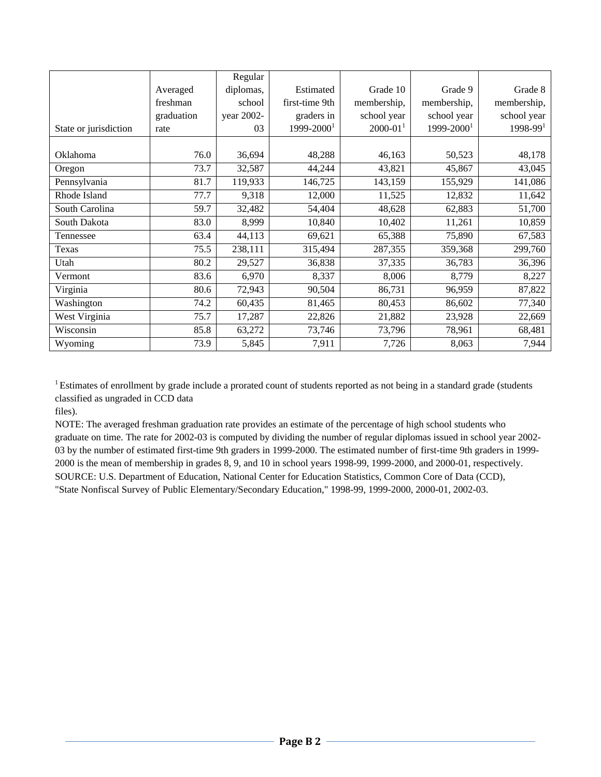|                       |            | Regular    |                |              |                |              |
|-----------------------|------------|------------|----------------|--------------|----------------|--------------|
|                       | Averaged   | diplomas,  | Estimated      | Grade 10     | Grade 9        | Grade 8      |
|                       | freshman   | school     | first-time 9th | membership,  | membership,    | membership,  |
|                       | graduation | year 2002- | graders in     | school year  | school year    | school year  |
| State or jurisdiction | rate       | 03         | $1999 - 20001$ | $2000 - 011$ | $1999 - 20001$ | $1998 - 991$ |
|                       |            |            |                |              |                |              |
| Oklahoma              | 76.0       | 36,694     | 48,288         | 46,163       | 50,523         | 48,178       |
| Oregon                | 73.7       | 32,587     | 44,244         | 43,821       | 45,867         | 43,045       |
| Pennsylvania          | 81.7       | 119,933    | 146,725        | 143,159      | 155,929        | 141,086      |
| Rhode Island          | 77.7       | 9,318      | 12,000         | 11,525       | 12,832         | 11,642       |
| South Carolina        | 59.7       | 32,482     | 54,404         | 48,628       | 62,883         | 51,700       |
| South Dakota          | 83.0       | 8,999      | 10,840         | 10,402       | 11,261         | 10,859       |
| Tennessee             | 63.4       | 44,113     | 69,621         | 65,388       | 75,890         | 67,583       |
| Texas                 | 75.5       | 238,111    | 315,494        | 287,355      | 359,368        | 299,760      |
| Utah                  | 80.2       | 29,527     | 36,838         | 37,335       | 36,783         | 36,396       |
| Vermont               | 83.6       | 6,970      | 8,337          | 8,006        | 8,779          | 8,227        |
| Virginia              | 80.6       | 72,943     | 90,504         | 86,731       | 96,959         | 87,822       |
| Washington            | 74.2       | 60,435     | 81,465         | 80,453       | 86,602         | 77,340       |
| West Virginia         | 75.7       | 17,287     | 22,826         | 21,882       | 23,928         | 22,669       |
| Wisconsin             | 85.8       | 63,272     | 73,746         | 73,796       | 78,961         | 68,481       |
| Wyoming               | 73.9       | 5,845      | 7,911          | 7,726        | 8,063          | 7,944        |

<sup>1</sup> Estimates of enrollment by grade include a prorated count of students reported as not being in a standard grade (students classified as ungraded in CCD data

files).

NOTE: The averaged freshman graduation rate provides an estimate of the percentage of high school students who graduate on time. The rate for 2002-03 is computed by dividing the number of regular diplomas issued in school year 2002- 03 by the number of estimated first-time 9th graders in 1999-2000. The estimated number of first-time 9th graders in 1999- 2000 is the mean of membership in grades 8, 9, and 10 in school years 1998-99, 1999-2000, and 2000-01, respectively. SOURCE: U.S. Department of Education, National Center for Education Statistics, Common Core of Data (CCD), "State Nonfiscal Survey of Public Elementary/Secondary Education," 1998-99, 1999-2000, 2000-01, 2002-03.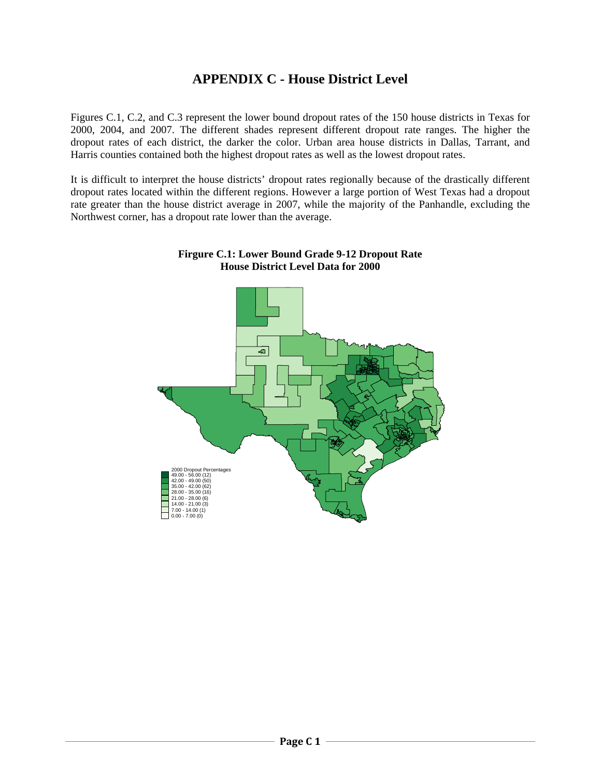# **APPENDIX C - House District Level**

Figures C.1, C.2, and C.3 represent the lower bound dropout rates of the 150 house districts in Texas for 2000, 2004, and 2007. The different shades represent different dropout rate ranges. The higher the dropout rates of each district, the darker the color. Urban area house districts in Dallas, Tarrant, and Harris counties contained both the highest dropout rates as well as the lowest dropout rates.

It is difficult to interpret the house districts' dropout rates regionally because of the drastically different dropout rates located within the different regions. However a large portion of West Texas had a dropout rate greater than the house district average in 2007, while the majority of the Panhandle, excluding the Northwest corner, has a dropout rate lower than the average.



**Firgure C.1: Lower Bound Grade 9-12 Dropout Rate House District Level Data for 2000**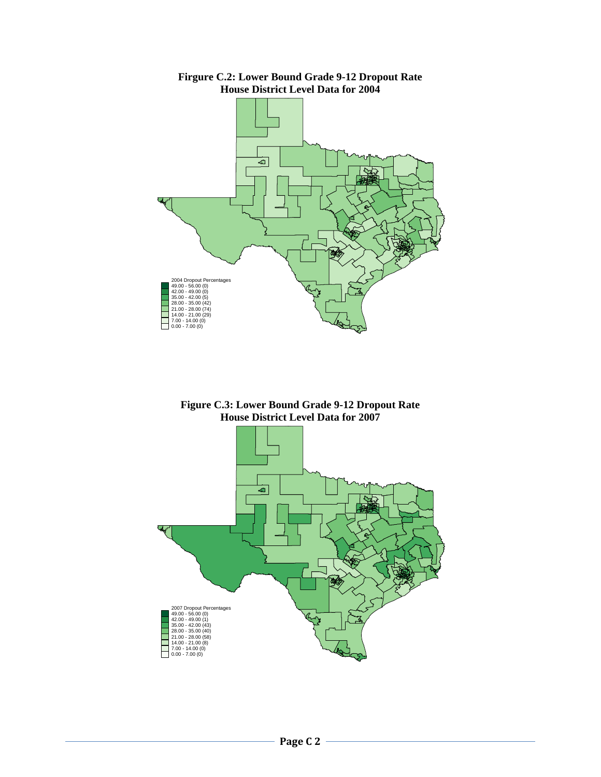

**Firgure C.2: Lower Bound Grade 9-12 Dropout Rate House District Level Data for 2004** 

**Figure C.3: Lower Bound Grade 9-12 Dropout Rate House District Level Data for 2007** 

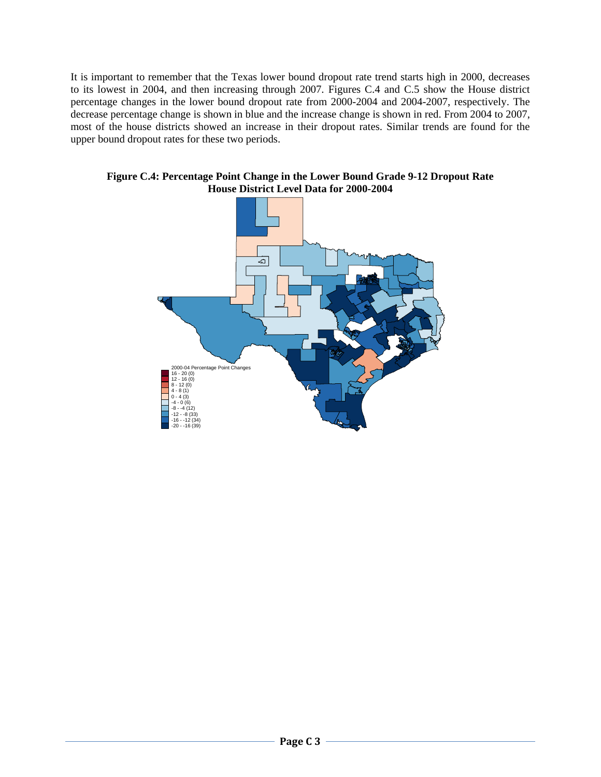It is important to remember that the Texas lower bound dropout rate trend starts high in 2000, decreases to its lowest in 2004, and then increasing through 2007. Figures C.4 and C.5 show the House district percentage changes in the lower bound dropout rate from 2000-2004 and 2004-2007, respectively. The decrease percentage change is shown in blue and the increase change is shown in red. From 2004 to 2007, most of the house districts showed an increase in their dropout rates. Similar trends are found for the upper bound dropout rates for these two periods.



**Figure C.4: Percentage Point Change in the Lower Bound Grade 9-12 Dropout Rate House District Level Data for 2000-2004**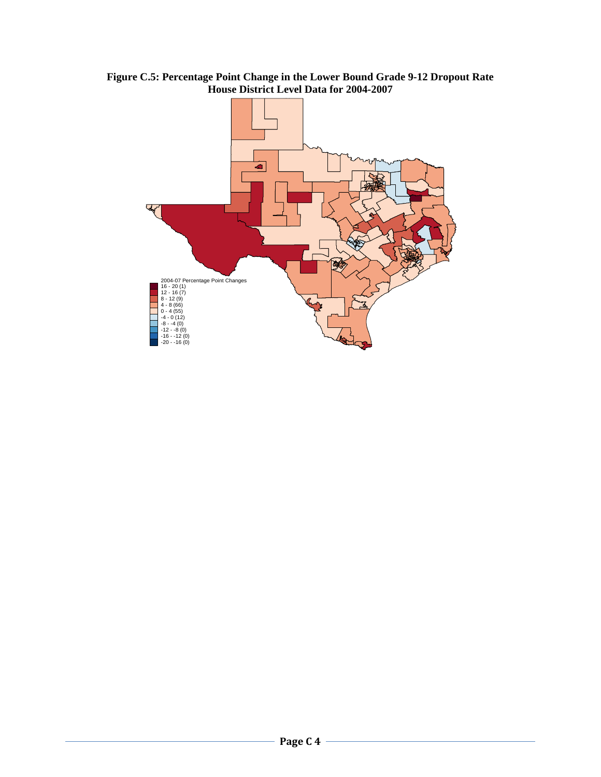

**Figure C.5: Percentage Point Change in the Lower Bound Grade 9-12 Dropout Rate House District Level Data for 2004-2007**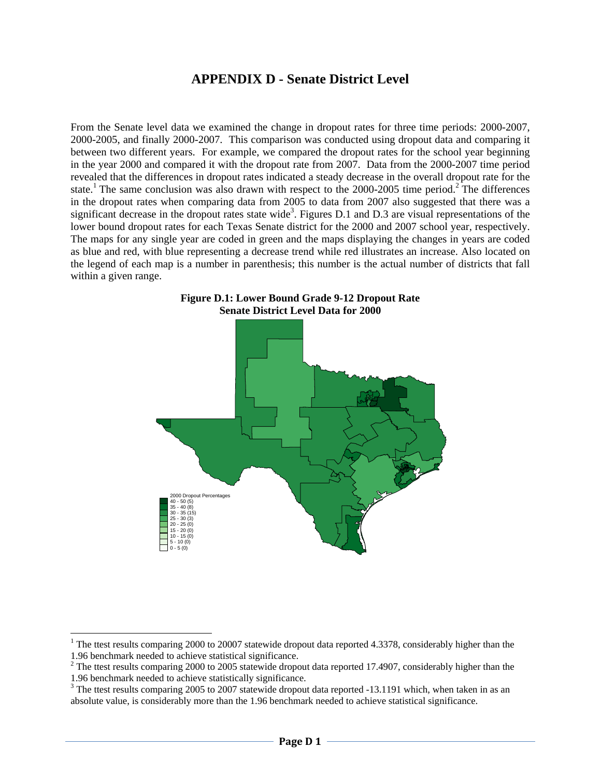## **APPENDIX D - Senate District Level**

From the Senate level data we examined the change in dropout rates for three time periods: 2000-2007, 2000-2005, and finally 2000-2007. This comparison was conducted using dropout data and comparing it between two different years. For example, we compared the dropout rates for the school year beginning in the year 2000 and compared it with the dropout rate from 2007. Data from the 2000-2007 time period revealed that the differences in dropout rates indicated a steady decrease in the overall dropout rate for the state.<sup>1</sup> The same conclusion was also drawn with respect to the 2000-2005 time period.<sup>2</sup> The differences in the dropout rates when comparing data from 2005 to data from 2007 also suggested that there was a significant decrease in the dropout rates state wide<sup>3</sup>. Figures D.1 and D.3 are visual representations of the lower bound dropout rates for each Texas Senate district for the 2000 and 2007 school year, respectively. The maps for any single year are coded in green and the maps displaying the changes in years are coded as blue and red, with blue representing a decrease trend while red illustrates an increase. Also located on the legend of each map is a number in parenthesis; this number is the actual number of districts that fall within a given range.





<sup>&</sup>lt;sup>1</sup> The ttest results comparing 2000 to 20007 statewide dropout data reported 4.3378, considerably higher than the 1.96 benchmark needed to achieve statistical significance.

 $2$  The ttest results comparing 2000 to 2005 statewide dropout data reported 17.4907, considerably higher than the 1.96 benchmark needed to achieve statistically significance.

 $3$  The ttest results comparing 2005 to 2007 statewide dropout data reported  $-13.1191$  which, when taken in as an absolute value, is considerably more than the 1.96 benchmark needed to achieve statistical significance.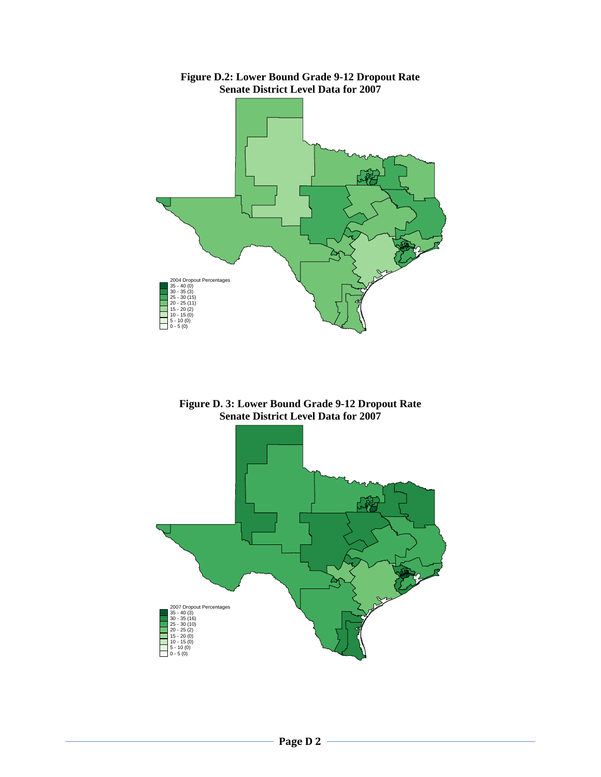

**Figure D.2: Lower Bound Grade 9-12 Dropout Rate Senate District Level Data for 2007** 

**Figure D. 3: Lower Bound Grade 9-12 Dropout Rate Senate District Level Data for 2007** 

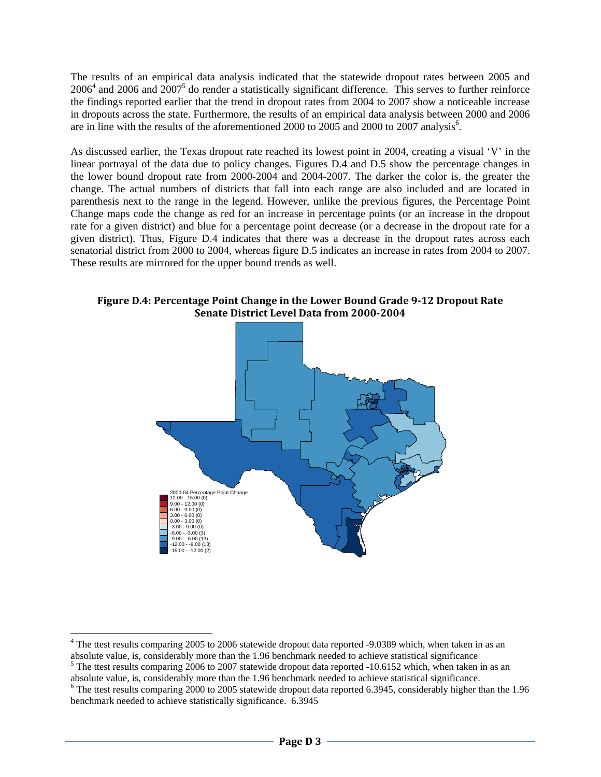The results of an empirical data analysis indicated that the statewide dropout rates between 2005 and  $2006<sup>4</sup>$  and 2006 and  $2007<sup>5</sup>$  do render a statistically significant difference. This serves to further reinforce the findings reported earlier that the trend in dropout rates from 2004 to 2007 show a noticeable increase in dropouts across the state. Furthermore, the results of an empirical data analysis between 2000 and 2006 are in line with the results of the aforementioned 2000 to 2005 and 2000 to 2007 analysis<sup>6</sup>.

As discussed earlier, the Texas dropout rate reached its lowest point in 2004, creating a visual 'V' in the linear portrayal of the data due to policy changes. Figures D.4 and D.5 show the percentage changes in the lower bound dropout rate from 2000-2004 and 2004-2007. The darker the color is, the greater the change. The actual numbers of districts that fall into each range are also included and are located in parenthesis next to the range in the legend. However, unlike the previous figures, the Percentage Point Change maps code the change as red for an increase in percentage points (or an increase in the dropout rate for a given district) and blue for a percentage point decrease (or a decrease in the dropout rate for a given district). Thus, Figure D.4 indicates that there was a decrease in the dropout rates across each senatorial district from 2000 to 2004, whereas figure D.5 indicates an increase in rates from 2004 to 2007. These results are mirrored for the upper bound trends as well.

**Figure D.4: Percentage Point Change in the Lower Bound Grade 912 Dropout Rate Senate District Level Data from 20002004**



<sup>&</sup>lt;sup>4</sup> The ttest results comparing 2005 to 2006 statewide dropout data reported -9.0389 which, when taken in as an absolute value, is, considerably more than the 1.96 benchmark needed to achieve statistical significance

 $<sup>5</sup>$  The ttest results comparing 2006 to 2007 statewide dropout data reported -10.6152 which, when taken in as an</sup> absolute value, is, considerably more than the 1.96 benchmark needed to achieve statistical significance. The ttest results comparing 2000 to 2005 statewide dropout data reported 6.3945, considerably higher than the 1.96 benchmark needed to achieve statistically significance. 6.3945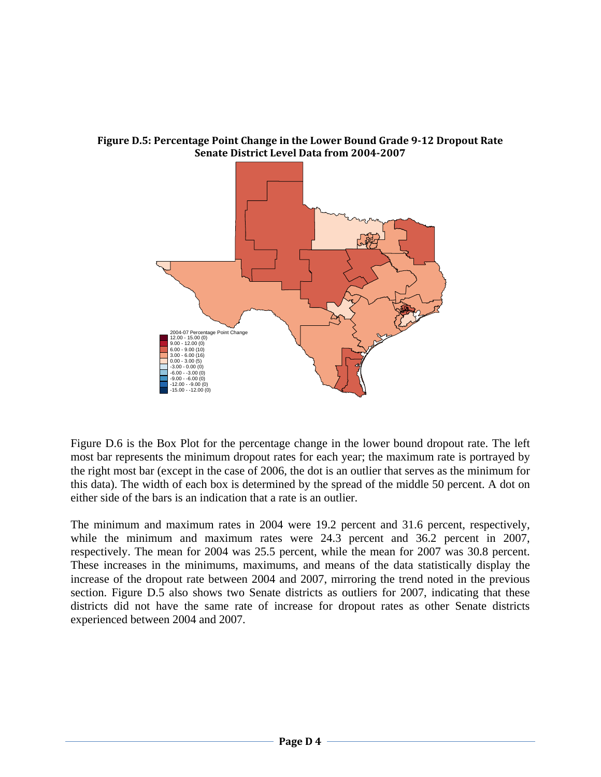

**Figure D.5: Percentage Point Change in the Lower Bound Grade 912 Dropout Rate Senate District Level Data from 20042007**

Figure D.6 is the Box Plot for the percentage change in the lower bound dropout rate. The left most bar represents the minimum dropout rates for each year; the maximum rate is portrayed by the right most bar (except in the case of 2006, the dot is an outlier that serves as the minimum for this data). The width of each box is determined by the spread of the middle 50 percent. A dot on either side of the bars is an indication that a rate is an outlier.

The minimum and maximum rates in 2004 were 19.2 percent and 31.6 percent, respectively, while the minimum and maximum rates were 24.3 percent and 36.2 percent in 2007, respectively. The mean for 2004 was 25.5 percent, while the mean for 2007 was 30.8 percent. These increases in the minimums, maximums, and means of the data statistically display the increase of the dropout rate between 2004 and 2007, mirroring the trend noted in the previous section. Figure D.5 also shows two Senate districts as outliers for 2007, indicating that these districts did not have the same rate of increase for dropout rates as other Senate districts experienced between 2004 and 2007.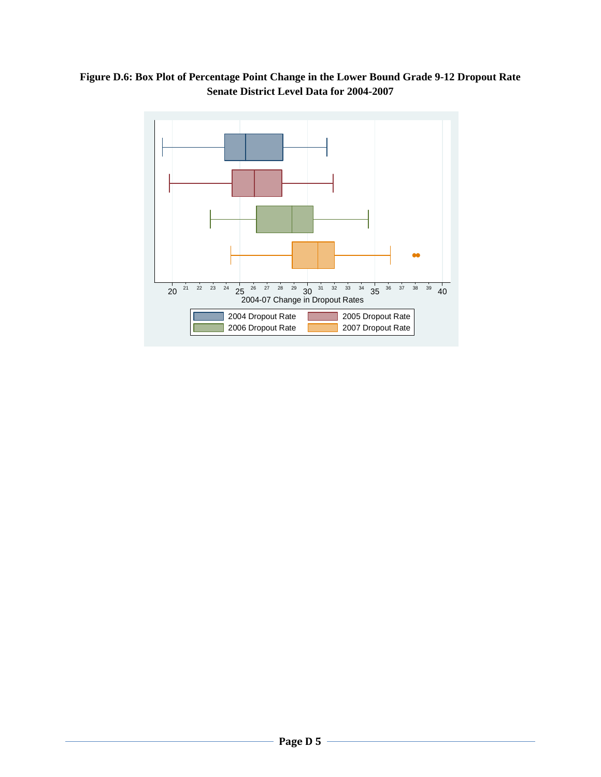

**Figure D.6: Box Plot of Percentage Point Change in the Lower Bound Grade 9-12 Dropout Rate Senate District Level Data for 2004-2007**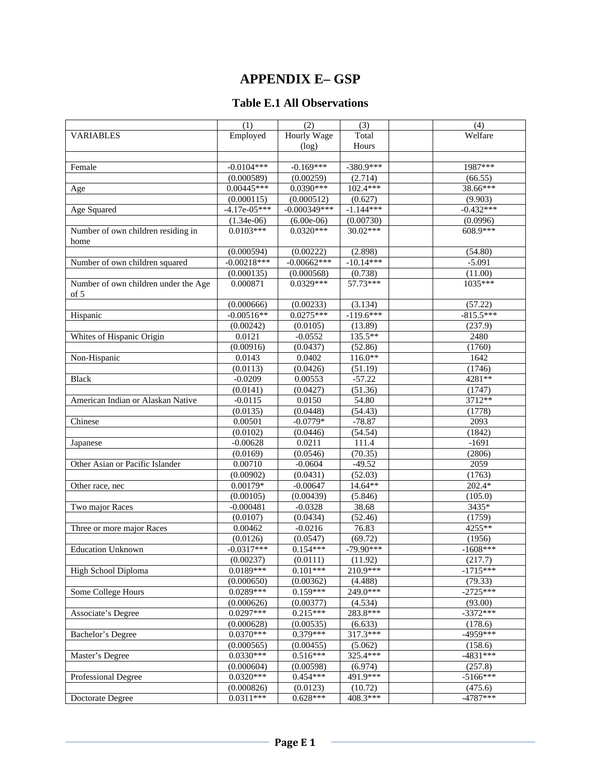# **APPENDIX E– GSP**

## **Table E.1 All Observations**

|                                      | (1)                       | $\overline{(2)}$        | (3)                  | (4)                   |
|--------------------------------------|---------------------------|-------------------------|----------------------|-----------------------|
| <b>VARIABLES</b>                     | Employed                  | <b>Hourly Wage</b>      | Total                | Welfare               |
|                                      |                           | (log)                   | Hours                |                       |
|                                      |                           |                         |                      |                       |
| Female                               | $-0.0104***$              | $-0.169***$             | $-380.9***$          | 1987***               |
|                                      | (0.000589)                | (0.00259)               | (2.714)              | (66.55)               |
| Age                                  | $0.00445***$              | $0.0390***$             | 102.4***             | 38.66***              |
|                                      | (0.000115)                | (0.000512)              | (0.627)              | (9.903)               |
| Age Squared                          | $-4.17e-05***$            | $-0.000349***$          | $-1.144***$          | $-0.432***$           |
|                                      | $(1.34e-06)$              | $(6.00e-06)$            | (0.00730)            | (0.0996)              |
| Number of own children residing in   | $0.0103***$               | $0.0320***$             | 30.02***             | 608.9***              |
| home                                 |                           |                         |                      |                       |
|                                      | (0.000594)                | (0.00222)               | (2.898)              | (54.80)               |
| Number of own children squared       | $-0.00218***$             | $-0.00662***$           | $-10.14***$          | $-5.091$              |
|                                      | (0.000135)                | (0.000568)              | (0.738)              | (11.00)               |
| Number of own children under the Age | 0.000871                  | $0.0329***$             | 57.73***             | 1035***               |
| of 5                                 |                           |                         |                      |                       |
|                                      | (0.000666)                | (0.00233)               | (3.134)              | (57.22)               |
| Hispanic                             | $-0.00516**$              | $0.0275***$             | $-119.6***$          | $-815.5***$           |
|                                      | (0.00242)                 | (0.0105)                | (13.89)              | (237.9)               |
| Whites of Hispanic Origin            | 0.0121                    | $-0.0552$               | 135.5**              | 2480                  |
|                                      | (0.00916)                 | (0.0437)                | (52.86)              | (1760)                |
| Non-Hispanic                         | 0.0143                    | 0.0402                  | $116.0**$            | 1642                  |
|                                      | (0.0113)                  | (0.0426)                | (51.19)              | (1746)                |
| <b>Black</b>                         | $-0.0209$                 | 0.00553                 | $-57.22$             | 4281**                |
|                                      | (0.0141)                  | (0.0427)                | (51.36)              | (1747)                |
| American Indian or Alaskan Native    | $-0.0115$                 | 0.0150                  | 54.80                | 3712**                |
|                                      | (0.0135)                  | (0.0448)                | (54.43)              | (1778)                |
| Chinese                              | 0.00501                   | $-0.0779*$              | $-78.87$             | 2093                  |
|                                      | (0.0102)                  | (0.0446)                | (54.54)              | (1842)                |
| Japanese                             | $-0.00628$                | 0.0211                  | 111.4                | $-1691$               |
|                                      | (0.0169)                  | (0.0546)                | (70.35)              | (2806)                |
| Other Asian or Pacific Islander      | 0.00710                   | $-0.0604$               | $-49.52$             | 2059                  |
|                                      | (0.00902)                 | (0.0431)                | $\overline{(52.03)}$ | (1763)                |
| Other race, nec                      | $0.00179*$                | $-0.00647$              | $14.64**$            | 202.4*                |
|                                      | (0.00105)                 | (0.00439)               | (5.846)              | (105.0)               |
| Two major Races                      | $-0.000481$               | $-0.0328$               | 38.68                | 3435*                 |
|                                      | (0.0107)                  | (0.0434)                | (52.46)              | (1759)                |
| Three or more major Races            | 0.00462                   | $-0.0216$               | 76.83                | 4255**                |
|                                      | (0.0126)                  | (0.0547)                | (69.72)              | (1956)                |
| <b>Education Unknown</b>             | $-0.0317***$              | $0.154***$              | $-79.90***$          | $-1608***$            |
|                                      | (0.00237)                 | (0.0111)                | (11.92)              | (217.7)               |
| High School Diploma                  | $0.0189***$               | $0.101***$              | 210.9***             | $-1715***$            |
|                                      | (0.000650)                | (0.00362)               | (4.488)              | (79.33)               |
| Some College Hours                   | $0.0289***$               | $0.159***$              | 249.0***             | $-2725***$            |
|                                      | (0.000626)                | (0.00377)               | (4.534)              | (93.00)               |
| Associate's Degree                   | $0.0297***$               | $0.215***$              | $283.8***$           | $-3372***$            |
|                                      | (0.000628)                | (0.00535)               | (6.633)              | (178.6)               |
| Bachelor's Degree                    | $0.0370***$               | 0.379***                | 317.3***             | $-4959***$            |
|                                      | (0.000565)                |                         | (5.062)              | (158.6)               |
|                                      | $0.0330***$               | (0.00455)<br>$0.516***$ | 325.4***             | $-4831***$            |
| Master's Degree                      |                           |                         |                      |                       |
|                                      | (0.000604)<br>$0.0320***$ | (0.00598)               | (6.974)<br>491.9***  | (257.8)<br>$-5166***$ |
| Professional Degree                  |                           | $0.454***$              |                      | (475.6)               |
|                                      | (0.000826)<br>$0.0311***$ | (0.0123)<br>$0.628***$  | (10.72)<br>408.3***  | $-4787***$            |
| Doctorate Degree                     |                           |                         |                      |                       |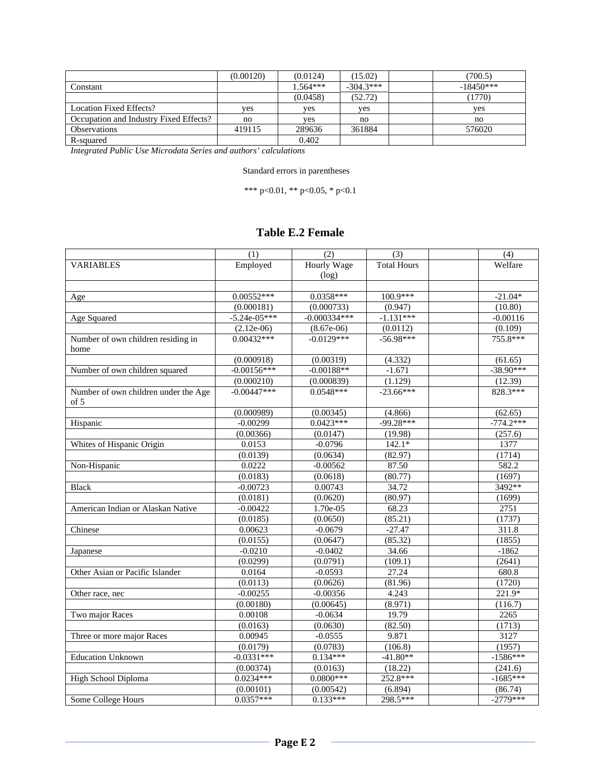|                                        | (0.00120) | (0.0124)   | (15.02)     | (700.5)     |
|----------------------------------------|-----------|------------|-------------|-------------|
| Constant                               |           | $1.564***$ | $-304.3***$ | $-18450***$ |
|                                        |           | (0.0458)   | (52.72)     | (1770)      |
| <b>Location Fixed Effects?</b>         | ves       | yes        | ves         | yes         |
| Occupation and Industry Fixed Effects? | no        | yes        | no          | no          |
| <b>Observations</b>                    | 419115    | 289636     | 361884      | 576020      |
| R-squared                              |           | 0.402      |             |             |

Standard errors in parentheses

\*\*\* p<0.01, \*\* p<0.05, \* p<0.1

## **Table E.2 Female**

|                                      | (1)            | (2)                | (3)                | (4)         |
|--------------------------------------|----------------|--------------------|--------------------|-------------|
| <b>VARIABLES</b>                     | Employed       | <b>Hourly Wage</b> | <b>Total Hours</b> | Welfare     |
|                                      |                | (log)              |                    |             |
|                                      |                |                    |                    |             |
| Age                                  | $0.00552***$   | $0.0358***$        | 100.9***           | $-21.04*$   |
|                                      | (0.000181)     | (0.000733)         | (0.947)            | (10.80)     |
| Age Squared                          | $-5.24e-05***$ | $-0.000334***$     | $-1.131***$        | $-0.00116$  |
|                                      | $(2.12e-06)$   | $(8.67e-06)$       | (0.0112)           | (0.109)     |
| Number of own children residing in   | $0.00432***$   | $-0.0129***$       | $-56.98***$        | 755.8***    |
| home                                 |                |                    |                    |             |
|                                      | (0.000918)     | (0.00319)          | (4.332)            | (61.65)     |
| Number of own children squared       | $-0.00156***$  | $-0.00188**$       | $-1.671$           | $-38.90***$ |
|                                      | (0.000210)     | (0.000839)         | (1.129)            | (12.39)     |
| Number of own children under the Age | $-0.00447***$  | $0.0548***$        | $-23.66***$        | 828.3***    |
| of 5                                 |                |                    |                    |             |
|                                      | (0.000989)     | (0.00345)          | (4.866)            | (62.65)     |
| Hispanic                             | $-0.00299$     | $0.0423***$        | $-99.28***$        | $-774.2***$ |
|                                      | (0.00366)      | (0.0147)           | (19.98)            | (257.6)     |
| Whites of Hispanic Origin            | 0.0153         | $-0.0796$          | $142.1*$           | 1377        |
|                                      | (0.0139)       | (0.0634)           | (82.97)            | (1714)      |
| Non-Hispanic                         | 0.0222         | $-0.00562$         | 87.50              | 582.2       |
|                                      | (0.0183)       | (0.0618)           | (80.77)            | (1697)      |
| <b>Black</b>                         | $-0.00723$     | 0.00743            | 34.72              | 3492**      |
|                                      | (0.0181)       | (0.0620)           | (80.97)            | (1699)      |
| American Indian or Alaskan Native    | $-0.00422$     | 1.70e-05           | 68.23              | 2751        |
|                                      | (0.0185)       | (0.0650)           | (85.21)            | (1737)      |
| Chinese                              | 0.00623        | $-0.0679$          | $-27.47$           | 311.8       |
|                                      | (0.0155)       | (0.0647)           | (85.32)            | (1855)      |
| Japanese                             | $-0.0210$      | $-0.0402$          | 34.66              | $-1862$     |
|                                      | (0.0299)       | (0.0791)           | (109.1)            | (2641)      |
| Other Asian or Pacific Islander      | 0.0164         | $-0.0593$          | 27.24              | 680.8       |
|                                      | (0.0113)       | (0.0626)           | (81.96)            | (1720)      |
| Other race, nec                      | $-0.00255$     | $-0.00356$         | 4.243              | 221.9*      |
|                                      | (0.00180)      | (0.00645)          | (8.971)            | (116.7)     |
| Two major Races                      | 0.00108        | $-0.0634$          | 19.79              | 2265        |
|                                      | (0.0163)       | (0.0630)           | (82.50)            | (1713)      |
| Three or more major Races            | 0.00945        | $-0.0555$          | 9.871              | 3127        |
|                                      | (0.0179)       | (0.0783)           | (106.8)            | (1957)      |
| <b>Education Unknown</b>             | $-0.0331***$   | $0.134***$         | $-41.80**$         | $-1586***$  |
|                                      | (0.00374)      | (0.0163)           | (18.22)            | (241.6)     |
| High School Diploma                  | $0.0234***$    | $0.0800***$        | 252.8***           | $-1685***$  |
|                                      | (0.00101)      | (0.00542)          | (6.894)            | (86.74)     |
| Some College Hours                   | $0.0357***$    | $0.133***$         | 298.5***           | $-2779***$  |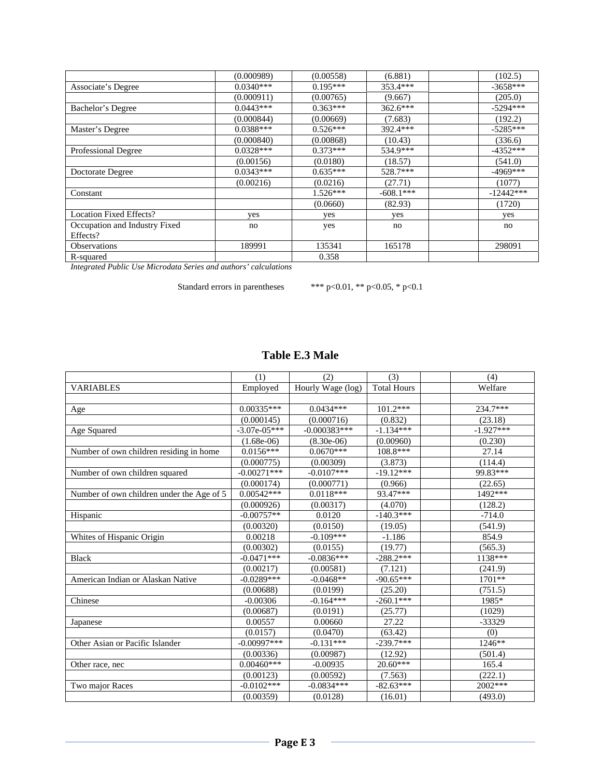|                               | (0.000989)  | (0.00558)  | (6.881)     | (102.5)     |
|-------------------------------|-------------|------------|-------------|-------------|
| Associate's Degree            | $0.0340***$ | $0.195***$ | 353.4***    | $-3658***$  |
|                               | (0.000911)  | (0.00765)  | (9.667)     | (205.0)     |
| Bachelor's Degree             | $0.0443***$ | $0.363***$ | $362.6***$  | $-5294***$  |
|                               | (0.000844)  | (0.00669)  | (7.683)     | (192.2)     |
| Master's Degree               | $0.0388***$ | $0.526***$ | 392.4***    | $-5285***$  |
|                               | (0.000840)  | (0.00868)  | (10.43)     | (336.6)     |
| <b>Professional Degree</b>    | $0.0328***$ | $0.373***$ | 534.9***    | $-4352***$  |
|                               | (0.00156)   | (0.0180)   | (18.57)     | (541.0)     |
| Doctorate Degree              | $0.0343***$ | $0.635***$ | 528.7***    | $-4969***$  |
|                               | (0.00216)   | (0.0216)   | (27.71)     | (1077)      |
| Constant                      |             | $1.526***$ | $-608.1***$ | $-12442***$ |
|                               |             | (0.0660)   | (82.93)     | (1720)      |
| Location Fixed Effects?       | yes         | yes        | yes         | yes         |
| Occupation and Industry Fixed | no          | yes        | no          | no          |
| Effects?                      |             |            |             |             |
| <b>Observations</b>           | 189991      | 135341     | 165178      | 298091      |
| R-squared                     |             | 0.358      |             |             |

Standard errors in parentheses \*\*\* p<0.01, \*\* p<0.05, \* p<0.1

## **Table E.3 Male**

|                                           | (1)            | (2)               | (3)                | (4)         |
|-------------------------------------------|----------------|-------------------|--------------------|-------------|
| <b>VARIABLES</b>                          | Employed       | Hourly Wage (log) | <b>Total Hours</b> | Welfare     |
|                                           |                |                   |                    |             |
| Age                                       | 0.00335***     | $0.0434***$       | 101.2***           | 234.7***    |
|                                           | (0.000145)     | (0.000716)        | (0.832)            | (23.18)     |
| Age Squared                               | $-3.07e-05***$ | $-0.000383***$    | $-1.134***$        | $-1.927***$ |
|                                           | $(1.68e-06)$   | $(8.30e-06)$      | (0.00960)          | (0.230)     |
| Number of own children residing in home   | $0.0156***$    | $0.0670***$       | 108.8***           | 27.14       |
|                                           | (0.000775)     | (0.00309)         | (3.873)            | (114.4)     |
| Number of own children squared            | $-0.00271$ *** | $-0.0107***$      | $-19.12***$        | 99.83***    |
|                                           | (0.000174)     | (0.000771)        | (0.966)            | (22.65)     |
| Number of own children under the Age of 5 | $0.00542***$   | $0.0118***$       | 93.47***           | 1492***     |
|                                           | (0.000926)     | (0.00317)         | (4.070)            | (128.2)     |
| Hispanic                                  | $-0.00757**$   | 0.0120            | $-140.3***$        | $-714.0$    |
|                                           | (0.00320)      | (0.0150)          | (19.05)            | (541.9)     |
| Whites of Hispanic Origin                 | 0.00218        | $-0.109***$       | $-1.186$           | 854.9       |
|                                           | (0.00302)      | (0.0155)          | (19.77)            | (565.3)     |
| <b>Black</b>                              | $-0.0471***$   | $-0.0836***$      | $-288.2***$        | 1138***     |
|                                           | (0.00217)      | (0.00581)         | (7.121)            | (241.9)     |
| American Indian or Alaskan Native         | $-0.0289***$   | $-0.0468**$       | $-90.65***$        | 1701**      |
|                                           | (0.00688)      | (0.0199)          | (25.20)            | (751.5)     |
| Chinese                                   | $-0.00306$     | $-0.164***$       | $-260.1***$        | 1985*       |
|                                           | (0.00687)      | (0.0191)          | (25.77)            | (1029)      |
| Japanese                                  | 0.00557        | 0.00660           | 27.22              | -33329      |
|                                           | (0.0157)       | (0.0470)          | (63.42)            | (0)         |
| Other Asian or Pacific Islander           | $-0.00997***$  | $-0.131***$       | $-239.7***$        | 1246**      |
|                                           | (0.00336)      | (0.00987)         | (12.92)            | (501.4)     |
| Other race, nec                           | $0.00460***$   | $-0.00935$        | 20.60***           | 165.4       |
|                                           | (0.00123)      | (0.00592)         | (7.563)            | (222.1)     |
| Two major Races                           | $-0.0102***$   | $-0.0834***$      | $-82.63***$        | 2002***     |
|                                           | (0.00359)      | (0.0128)          | (16.01)            | (493.0)     |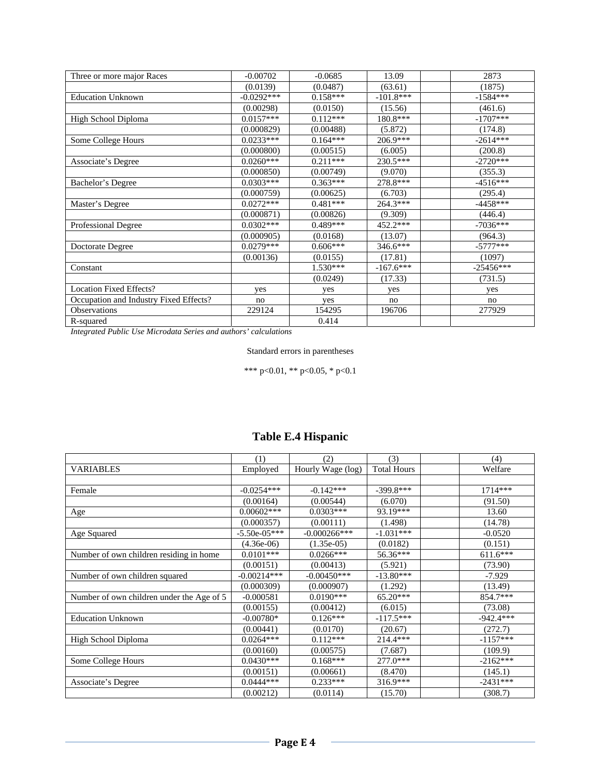| Three or more major Races              | $-0.00702$   | $-0.0685$  | 13.09       | 2873        |
|----------------------------------------|--------------|------------|-------------|-------------|
|                                        | (0.0139)     | (0.0487)   | (63.61)     | (1875)      |
| <b>Education Unknown</b>               | $-0.0292***$ | $0.158***$ | $-101.8***$ | $-1584***$  |
|                                        | (0.00298)    | (0.0150)   | (15.56)     | (461.6)     |
| High School Diploma                    | $0.0157***$  | $0.112***$ | 180.8***    | $-1707***$  |
|                                        | (0.000829)   | (0.00488)  | (5.872)     | (174.8)     |
| Some College Hours                     | $0.0233***$  | $0.164***$ | $206.9***$  | $-2614***$  |
|                                        | (0.000800)   | (0.00515)  | (6.005)     | (200.8)     |
| Associate's Degree                     | $0.0260***$  | $0.211***$ | 230.5***    | $-2720***$  |
|                                        | (0.000850)   | (0.00749)  | (9.070)     | (355.3)     |
| Bachelor's Degree                      | $0.0303***$  | $0.363***$ | 278.8***    | $-4516***$  |
|                                        | (0.000759)   | (0.00625)  | (6.703)     | (295.4)     |
| Master's Degree                        | $0.0272***$  | $0.481***$ | $264.3***$  | $-4458***$  |
|                                        | (0.000871)   | (0.00826)  | (9.309)     | (446.4)     |
| Professional Degree                    | $0.0302***$  | 0.489***   | 452.2***    | $-7036***$  |
|                                        | (0.000905)   | (0.0168)   | (13.07)     | (964.3)     |
| Doctorate Degree                       | $0.0279***$  | $0.606***$ | 346.6***    | $-5777***$  |
|                                        | (0.00136)    | (0.0155)   | (17.81)     | (1097)      |
| Constant                               |              | $1.530***$ | $-167.6***$ | $-25456***$ |
|                                        |              | (0.0249)   | (17.33)     | (731.5)     |
| <b>Location Fixed Effects?</b>         | yes          | yes        | yes         | yes         |
| Occupation and Industry Fixed Effects? | no           | yes        | no          | no          |
| Observations                           | 229124       | 154295     | 196706      | 277929      |
| R-squared                              |              | 0.414      |             |             |

Standard errors in parentheses

\*\*\* p<0.01, \*\* p<0.05, \* p<0.1

|                                           | (1)            | (2)               | (3)                | (4)         |
|-------------------------------------------|----------------|-------------------|--------------------|-------------|
| VARIABLES                                 | Employed       | Hourly Wage (log) | <b>Total Hours</b> | Welfare     |
|                                           |                |                   |                    |             |
| Female                                    | $-0.0254***$   | $-0.142***$       | $-399.8***$        | $1714***$   |
|                                           | (0.00164)      | (0.00544)         | (6.070)            | (91.50)     |
| <u>Age</u>                                | $0.00602***$   | $0.0303***$       | 93.19***           | 13.60       |
|                                           | (0.000357)     | (0.00111)         | (1.498)            | (14.78)     |
| Age Squared                               | $-5.50e-05***$ | $-0.000266$ ***   | $-1.031***$        | $-0.0520$   |
|                                           | $(4.36e-06)$   | $(1.35e-05)$      | (0.0182)           | (0.151)     |
| Number of own children residing in home   | $0.0101***$    | $0.0266***$       | 56.36***           | $611.6***$  |
|                                           | (0.00151)      | (0.00413)         | (5.921)            | (73.90)     |
| Number of own children squared            | $-0.00214***$  | $-0.00450***$     | $-13.80***$        | $-7.929$    |
|                                           | (0.000309)     | (0.000907)        | (1.292)            | (13.49)     |
| Number of own children under the Age of 5 | $-0.000581$    | $0.0190***$       | $65.20***$         | 854.7***    |
|                                           | (0.00155)      | (0.00412)         | (6.015)            | (73.08)     |
| <b>Education Unknown</b>                  | $-0.00780*$    | $0.126***$        | $-117.5***$        | $-942.4***$ |
|                                           | (0.00441)      | (0.0170)          | (20.67)            | (272.7)     |
| High School Diploma                       | $0.0264***$    | $0.112***$        | $214.4***$         | $-1157***$  |
|                                           | (0.00160)      | (0.00575)         | (7.687)            | (109.9)     |
| Some College Hours                        | $0.0430***$    | $0.168***$        | 277.0***           | $-2162***$  |
|                                           | (0.00151)      | (0.00661)         | (8.470)            | (145.1)     |
| Associate's Degree                        | $0.0444***$    | $0.233***$        | $316.9***$         | $-2431***$  |
|                                           | (0.00212)      | (0.0114)          | (15.70)            | (308.7)     |

## **Table E.4 Hispanic**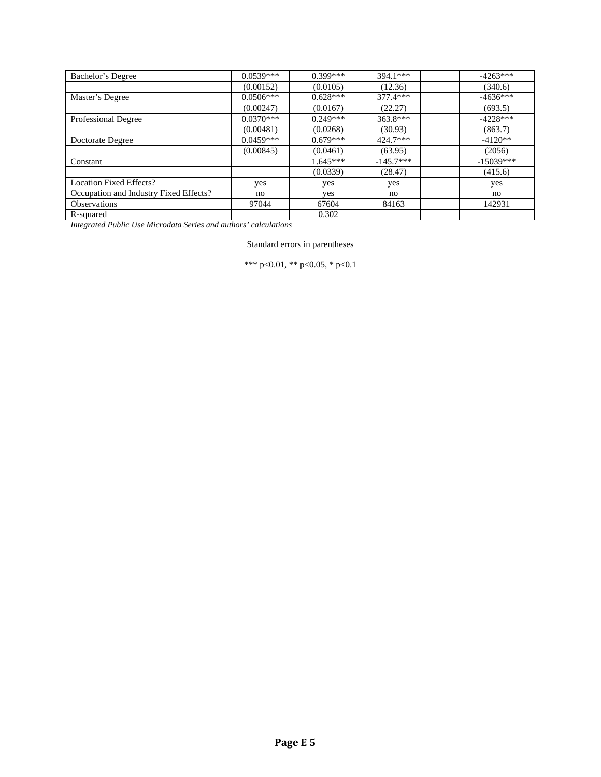| Bachelor's Degree                      | $0.0539***$ | $0.399***$ | 394.1***    | $-4263***$  |
|----------------------------------------|-------------|------------|-------------|-------------|
|                                        | (0.00152)   | (0.0105)   | (12.36)     | (340.6)     |
| Master's Degree                        | $0.0506***$ | $0.628***$ | $377.4***$  | $-4636***$  |
|                                        | (0.00247)   | (0.0167)   | (22.27)     | (693.5)     |
| <b>Professional Degree</b>             | $0.0370***$ | $0.249***$ | 363.8***    | $-4228***$  |
|                                        | (0.00481)   | (0.0268)   | (30.93)     | (863.7)     |
| Doctorate Degree                       | $0.0459***$ | $0.679***$ | 424.7***    | $-4120**$   |
|                                        | (0.00845)   | (0.0461)   | (63.95)     | (2056)      |
| Constant                               |             | $1.645***$ | $-145.7***$ | $-15039***$ |
|                                        |             | (0.0339)   | (28.47)     | (415.6)     |
| <b>Location Fixed Effects?</b>         | yes         | yes        | yes         | yes         |
| Occupation and Industry Fixed Effects? | no          | yes        | no          | no          |
| <b>Observations</b>                    | 97044       | 67604      | 84163       | 142931      |
| R-squared                              |             | 0.302      |             |             |

Standard errors in parentheses

\*\*\* p<0.01, \*\* p<0.05, \* p<0.1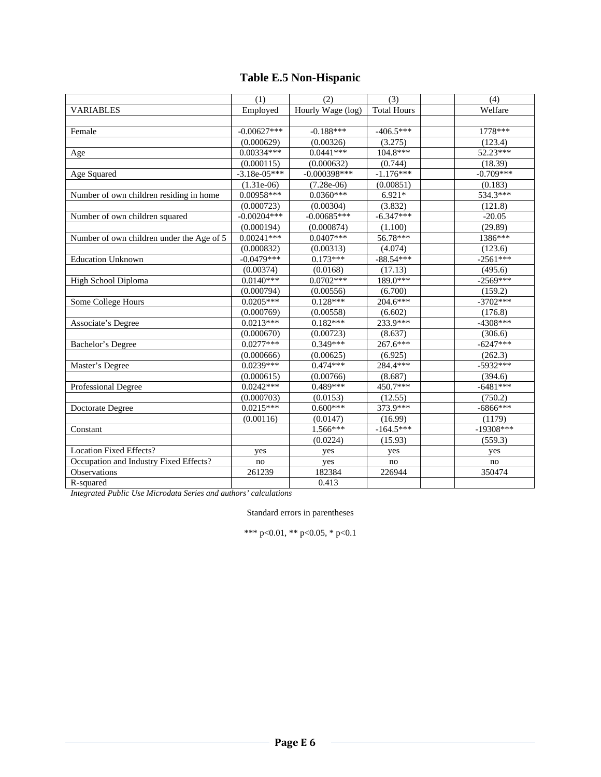# **Table E.5 Non-Hispanic**

|                                           | (1)            | (2)               | (3)                | (4)         |
|-------------------------------------------|----------------|-------------------|--------------------|-------------|
| <b>VARIABLES</b>                          | Employed       | Hourly Wage (log) | <b>Total Hours</b> | Welfare     |
|                                           |                |                   |                    |             |
| Female                                    | $-0.00627***$  | $-0.188***$       | $-406.5***$        | 1778***     |
|                                           | (0.000629)     | (0.00326)         | (3.275)            | (123.4)     |
| Age                                       | $0.00334***$   | $0.0441***$       | $104.8***$         | 52.23***    |
|                                           | (0.000115)     | (0.000632)        | (0.744)            | (18.39)     |
| Age Squared                               | $-3.18e-05***$ | $-0.000398***$    | $-1.176***$        | $-0.709***$ |
|                                           | $(1.31e-06)$   | $(7.28e-06)$      | (0.00851)          | (0.183)     |
| Number of own children residing in home   | $0.00958***$   | $0.0360***$       | $6.921*$           | 534.3***    |
|                                           | (0.000723)     | (0.00304)         | (3.832)            | (121.8)     |
| Number of own children squared            | $-0.00204***$  | $-0.00685***$     | $-6.347***$        | $-20.05$    |
|                                           | (0.000194)     | (0.000874)        | (1.100)            | (29.89)     |
| Number of own children under the Age of 5 | $0.00241***$   | $0.0407***$       | 56.78***           | 1386***     |
|                                           | (0.000832)     | (0.00313)         | (4.074)            | (123.6)     |
| <b>Education Unknown</b>                  | $-0.0479***$   | $0.173***$        | $-88.54***$        | $-2561***$  |
|                                           | (0.00374)      | (0.0168)          | (17.13)            | (495.6)     |
| High School Diploma                       | $0.0140***$    | $0.0702***$       | 189.0***           | $-2569***$  |
|                                           | (0.000794)     | (0.00556)         | (6.700)            | (159.2)     |
| Some College Hours                        | $0.0205***$    | $0.128***$        | 204.6***           | $-3702***$  |
|                                           | (0.000769)     | (0.00558)         | (6.602)            | (176.8)     |
| <b>Associate's Degree</b>                 | $0.0213***$    | $0.182***$        | 233.9***           | $-4308***$  |
|                                           | (0.000670)     | (0.00723)         | (8.637)            | (306.6)     |
| Bachelor's Degree                         | $0.0277***$    | $0.349***$        | 267.6***           | $-6247***$  |
|                                           | (0.000666)     | (0.00625)         | (6.925)            | (262.3)     |
| Master's Degree                           | $0.0239***$    | $0.474***$        | 284.4***           | $-5932***$  |
|                                           | (0.000615)     | (0.00766)         | (8.687)            | (394.6)     |
| Professional Degree                       | $0.0242***$    | $0.489***$        | $450.7***$         | $-6481***$  |
|                                           | (0.000703)     | (0.0153)          | (12.55)            | (750.2)     |
| Doctorate Degree                          | $0.0215***$    | $0.600***$        | 373.9***           | $-6866***$  |
|                                           | (0.00116)      | (0.0147)          | (16.99)            | (1179)      |
| Constant                                  |                | $1.566***$        | $-164.5***$        | $-19308***$ |
|                                           |                | (0.0224)          | (15.93)            | (559.3)     |
| <b>Location Fixed Effects?</b>            | yes            | yes               | yes                | yes         |
| Occupation and Industry Fixed Effects?    | no             | yes               | no                 | no          |
| Observations                              | 261239         | 182384            | 226944             | 350474      |
| R-squared                                 |                | 0.413             |                    |             |

*Integrated Public Use Microdata Series and authors' calculations* 

Standard errors in parentheses

\*\*\* p<0.01, \*\* p<0.05, \* p<0.1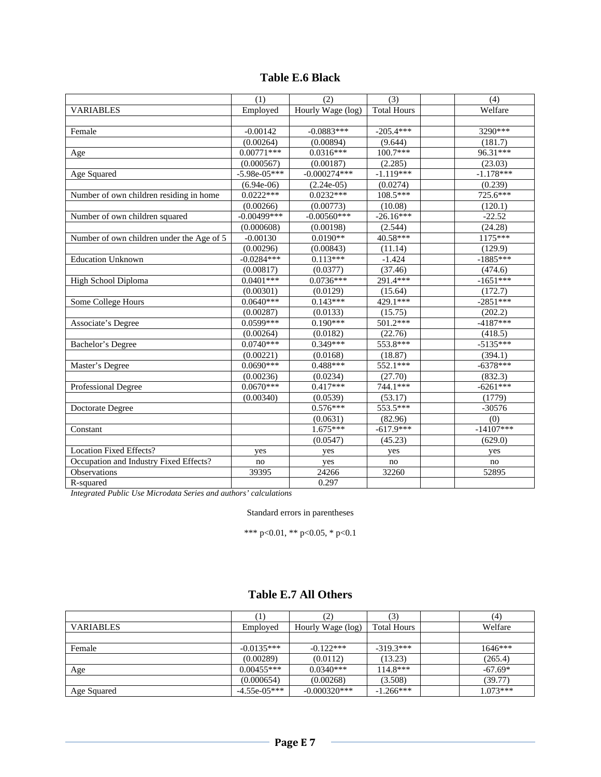|  |  | <b>Table E.6 Black</b> |
|--|--|------------------------|
|--|--|------------------------|

|                                           | (1)            | (2)               | (3)                | (4)         |
|-------------------------------------------|----------------|-------------------|--------------------|-------------|
| <b>VARIABLES</b>                          | Employed       | Hourly Wage (log) | <b>Total Hours</b> | Welfare     |
|                                           |                |                   |                    |             |
| Female                                    | $-0.00142$     | $-0.0883***$      | $-205.4***$        | 3290***     |
|                                           | (0.00264)      | (0.00894)         | (9.644)            | (181.7)     |
| Age                                       | $0.00771***$   | $0.0316***$       | $100.7***$         | 96.31***    |
|                                           | (0.000567)     | (0.00187)         | (2.285)            | (23.03)     |
| Age Squared                               | $-5.98e-05***$ | $-0.000274***$    | $-1.119***$        | $-1.178***$ |
|                                           | $(6.94e-06)$   | $(2.24e-05)$      | (0.0274)           | (0.239)     |
| Number of own children residing in home   | $0.0222***$    | $0.0232***$       | $108.5***$         | 725.6***    |
|                                           | (0.00266)      | (0.00773)         | (10.08)            | (120.1)     |
| Number of own children squared            | $-0.00499***$  | $-0.00560***$     | $-26.16***$        | $-22.52$    |
|                                           | (0.000608)     | (0.00198)         | (2.544)            | (24.28)     |
| Number of own children under the Age of 5 | $-0.00130$     | $0.0190**$        | 40.58***           | 1175***     |
|                                           | (0.00296)      | (0.00843)         | (11.14)            | (129.9)     |
| <b>Education Unknown</b>                  | $-0.0284***$   | $0.113***$        | $-1.424$           | $-1885***$  |
|                                           | (0.00817)      | (0.0377)          | (37.46)            | (474.6)     |
| <b>High School Diploma</b>                | $0.0401***$    | $0.0736***$       | 291.4***           | $-1651***$  |
|                                           | (0.00301)      | (0.0129)          | (15.64)            | (172.7)     |
| Some College Hours                        | $0.0640***$    | $0.143***$        | 429.1***           | $-2851***$  |
|                                           | (0.00287)      | (0.0133)          | (15.75)            | (202.2)     |
| <b>Associate's Degree</b>                 | $0.0599***$    | $0.190***$        | 501.2***           | $-4187***$  |
|                                           | (0.00264)      | (0.0182)          | (22.76)            | (418.5)     |
| Bachelor's Degree                         | $0.0740***$    | 0.349***          | 553.8***           | $-5135***$  |
|                                           | (0.00221)      | (0.0168)          | (18.87)            | (394.1)     |
| Master's Degree                           | $0.0690***$    | 0.488***          | 552.1***           | $-6378***$  |
|                                           | (0.00236)      | (0.0234)          | (27.70)            | (832.3)     |
| Professional Degree                       | $0.0670***$    | $0.417***$        | 744.1***           | $-6261***$  |
|                                           | (0.00340)      | (0.0539)          | (53.17)            | (1779)      |
| Doctorate Degree                          |                | $0.576***$        | 553.5***           | $-30576$    |
|                                           |                | (0.0631)          | (82.96)            | (0)         |
| Constant                                  |                | $1.675***$        | $-617.9***$        | $-14107***$ |
|                                           |                | (0.0547)          | (45.23)            | (629.0)     |
| <b>Location Fixed Effects?</b>            | yes            | yes               | yes                | yes         |
| Occupation and Industry Fixed Effects?    | no             | yes               | no                 | no          |
| Observations                              | 39395          | 24266             | 32260              | 52895       |
| R-squared                                 |                | 0.297             |                    |             |

Standard errors in parentheses

\*\*\* p<0.01, \*\* p<0.05, \* p<0.1

### **Table E.7 All Others**

|                  |                | (2)               | (3)                | (4)        |
|------------------|----------------|-------------------|--------------------|------------|
| <b>VARIABLES</b> | Employed       | Hourly Wage (log) | <b>Total Hours</b> | Welfare    |
|                  |                |                   |                    |            |
| Female           | $-0.0135***$   | $-0.122***$       | $-319.3***$        | $1646***$  |
|                  | (0.00289)      | (0.0112)          | (13.23)            | (265.4)    |
| Age              | $0.00455***$   | $0.0340***$       | $114.8***$         | $-67.69*$  |
|                  | (0.000654)     | (0.00268)         | (3.508)            | (39.77)    |
| Age Squared      | $-4.55e-05***$ | $-0.000320***$    | $-1.266***$        | $1.073***$ |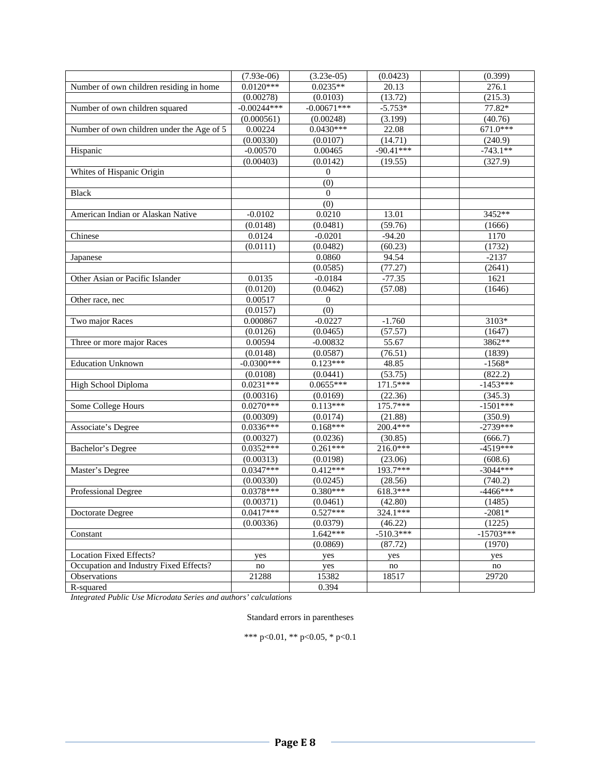|                                           | $(7.93e-06)$  | $(3.23e-05)$       | (0.0423)    | (0.399)     |
|-------------------------------------------|---------------|--------------------|-------------|-------------|
| Number of own children residing in home   | $0.0120***$   | $0.0235**$         | 20.13       | 276.1       |
|                                           | (0.00278)     | (0.0103)           | (13.72)     | (215.3)     |
| Number of own children squared            | $-0.00244***$ | $-0.00671***$      | $-5.753*$   | 77.82*      |
|                                           | (0.000561)    | (0.00248)          | (3.199)     | (40.76)     |
| Number of own children under the Age of 5 | 0.00224       | $0.0430***$        | 22.08       | 671.0***    |
|                                           | (0.00330)     | (0.0107)           | (14.71)     | (240.9)     |
| Hispanic                                  | $-0.00570$    | 0.00465            | $-90.41***$ | $-743.1**$  |
|                                           | (0.00403)     | (0.0142)           | (19.55)     | (327.9)     |
| Whites of Hispanic Origin                 |               | $\mathbf{0}$       |             |             |
|                                           |               | (0)                |             |             |
| <b>Black</b>                              |               | $\overline{0}$     |             |             |
|                                           |               | (0)                |             |             |
| American Indian or Alaskan Native         | $-0.0102$     | 0.0210             | 13.01       | 3452**      |
|                                           | (0.0148)      | (0.0481)           | (59.76)     | (1666)      |
| Chinese                                   | 0.0124        | $-0.0201$          | $-94.20$    | 1170        |
|                                           | (0.0111)      | (0.0482)           | (60.23)     | (1732)      |
| Japanese                                  |               | 0.0860             | 94.54       | $-2137$     |
|                                           |               | (0.0585)           | (77.27)     | (2641)      |
| Other Asian or Pacific Islander           | 0.0135        | $-0.0184$          | $-77.35$    | 1621        |
|                                           | (0.0120)      | (0.0462)           | (57.08)     | (1646)      |
| Other race, nec                           | 0.00517       | $\mathbf{0}$       |             |             |
|                                           | (0.0157)      | (0)                |             |             |
| Two major Races                           | 0.000867      | $-0.0227$          | $-1.760$    | 3103*       |
|                                           | (0.0126)      | (0.0465)           | (57.57)     | (1647)      |
| Three or more major Races                 | 0.00594       | $-0.00832$         | 55.67       | 3862**      |
|                                           | (0.0148)      | (0.0587)           | (76.51)     | (1839)      |
| <b>Education Unknown</b>                  | $-0.0300***$  | $0.123***$         | 48.85       | $-1568*$    |
|                                           | (0.0108)      | (0.0441)           | (53.75)     | (822.2)     |
| High School Diploma                       | $0.0231***$   | $0.0655***$        | 171.5***    | $-1453***$  |
|                                           | (0.00316)     | (0.0169)           | (22.36)     | (345.3)     |
| Some College Hours                        | $0.0270***$   | $0.113***$         | 175.7***    | $-1501***$  |
|                                           | (0.00309)     | (0.0174)           | (21.88)     | (350.9)     |
| <b>Associate's Degree</b>                 | $0.0336***$   | $0.168***$         | 200.4***    | $-2739***$  |
|                                           | (0.00327)     | (0.0236)           | (30.85)     | (666.7)     |
| <b>Bachelor's Degree</b>                  | $0.0352***$   | $0.261***$         | 216.0***    | $-4519***$  |
|                                           | (0.00313)     | (0.0198)           | (23.06)     | (608.6)     |
| Master's Degree                           | $0.0347***$   | $0.412***$         | 193.7***    | $-3044***$  |
|                                           | (0.00330)     | (0.0245)           | (28.56)     | (740.2)     |
| Professional Degree                       | $0.0378***$   | $0.380***$         | 618.3***    | $-4466***$  |
|                                           | (0.00371)     | (0.0461)           | (42.80)     | (1485)      |
| Doctorate Degree                          | $0.0417***$   | $0.527***$         | 324.1***    | -2081*      |
|                                           | (0.00336)     | (0.0379)           | (46.22)     | (1225)      |
| Constant                                  |               | $1.642***$         | $-510.3***$ | $-15703***$ |
|                                           |               | (0.0869)           | (87.72)     | (1970)      |
| Location Fixed Effects?                   | yes           | yes                | yes         | yes         |
| Occupation and Industry Fixed Effects?    | no            | yes                | no          | no          |
| <b>Observations</b>                       | 21288         | 15382              | 18517       | 29720       |
| R-squared                                 |               | $\overline{0.394}$ |             |             |

Standard errors in parentheses

\*\*\* p<0.01, \*\* p<0.05, \* p<0.1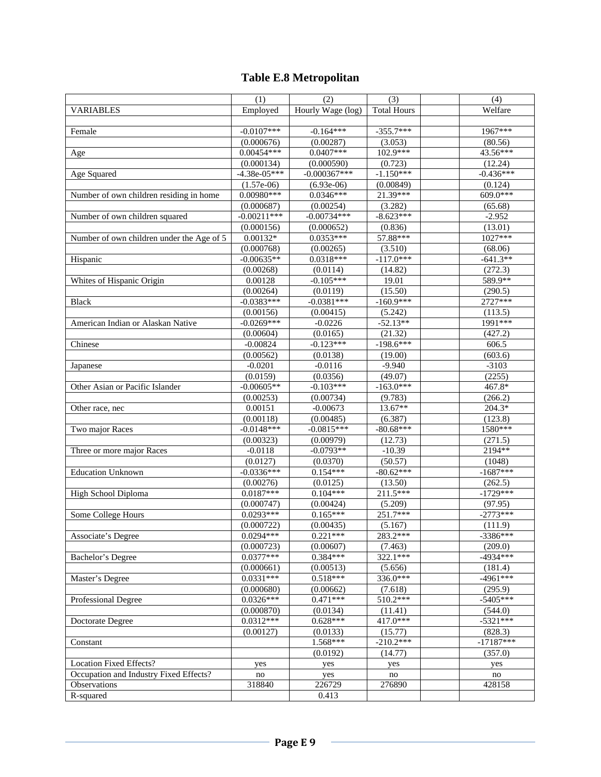# **Table E.8 Metropolitan**

| Employed<br>Hourly Wage (log)<br>Welfare<br><b>VARIABLES</b><br><b>Total Hours</b><br>$-0.0107***$<br>$-0.164***$<br>$-355.7***$<br>1967***<br>Female<br>(3.053)<br>(0.000676)<br>(0.00287)<br>(80.56)<br>$0.00454***$<br>$0.0407***$<br>102.9***<br>43.56***<br>Age<br>(0.000134)<br>(0.000590)<br>(0.723)<br>(12.24)<br>$-0.000367***$<br>$-1.150***$<br>$-0.436***$<br>$-4.38e-05***$<br>Age Squared<br>$(1.57e-06)$<br>(0.00849)<br>(0.124)<br>$(6.93e-06)$<br>21.39***<br>609.0***<br>$0.00980***$<br>$0.0346***$<br>Number of own children residing in home<br>(3.282)<br>(0.000687)<br>(0.00254)<br>(65.68)<br>$-8.623***$<br>$-0.00211***$<br>$-0.00734***$<br>$-2.952$<br>Number of own children squared<br>(13.01)<br>(0.000156)<br>(0.000652)<br>(0.836)<br>$0.0353***$<br>57.88***<br>1027***<br>Number of own children under the Age of 5<br>$0.00132*$<br>(0.000768)<br>(3.510)<br>(0.00265)<br>(68.06)<br>$-117.0***$<br>$-0.00635**$<br>$0.0318***$<br>$-641.3**$<br>Hispanic<br>(0.00268)<br>(14.82)<br>(272.3)<br>(0.0114)<br>589.9**<br>$-0.105***$<br>0.00128<br>Whites of Hispanic Origin<br>19.01<br>(0.00264)<br>(15.50)<br>(290.5)<br>(0.0119)<br>$-0.0381***$<br>$-160.9***$<br>2727***<br>$-0.0383***$<br><b>Black</b><br>(0.00156)<br>(0.00415)<br>(5.242)<br>(113.5)<br>$-0.0269***$<br>$-52.13**$<br>1991***<br>$-0.0226$<br>American Indian or Alaskan Native<br>(0.0165)<br>(427.2)<br>(0.00604)<br>(21.32)<br>$-0.123***$<br>$-198.6***$<br>Chinese<br>$-0.00824$<br>606.5<br>(0.00562)<br>(0.0138)<br>(19.00)<br>(603.6)<br>$-0.0201$<br>$-0.0116$<br>$-9.940$<br>$-3103$<br>Japanese<br>(0.0159)<br>(2255)<br>(0.0356)<br>(49.07)<br>$-0.00605**$<br>$-0.103***$<br>$-163.0***$<br>467.8*<br>Other Asian or Pacific Islander<br>(0.00253)<br>(0.00734)<br>(9.783)<br>(266.2)<br>13.67**<br>$204.3*$<br>0.00151<br>$-0.00673$<br>Other race, nec<br>(0.00485)<br>(0.00118)<br>(6.387)<br>(123.8)<br>$-80.68***$<br>1580***<br>$-0.0148***$<br>$-0.0815***$<br>Two major Races<br>(0.00323)<br>(0.00979)<br>(12.73)<br>(271.5)<br>2194**<br>$-0.0118$<br>$-0.0793**$<br>Three or more major Races<br>$-10.39$<br>(0.0127)<br>(0.0370)<br>(50.57)<br>(1048)<br>$0.154***$<br>$-1687***$<br>$-0.0336***$<br>$-80.62***$<br><b>Education Unknown</b><br>(0.00276)<br>(0.0125)<br>(13.50)<br>(262.5)<br>$0.104***$<br>211.5***<br>$-1729***$<br>$0.0187***$<br>High School Diploma<br>(5.209)<br>(0.000747)<br>(0.00424)<br>(97.95)<br>$0.165***$<br>251.7***<br>$-2773***$<br>$0.0293***$<br>Some College Hours<br>(0.000722)<br>(0.00435)<br>(5.167)<br>(111.9)<br>Associate's Degree<br>$0.0294***$<br>$0.221***$<br>283.2***<br>$-3386***$<br>(0.000723)<br>(209.0)<br>(0.00607)<br>(7.463)<br>$0.0377***$<br>$0.384***$<br>322.1***<br>$-4934***$<br><b>Bachelor's Degree</b><br>(0.000661)<br>(0.00513)<br>(5.656)<br>(181.4)<br>$0.518***$<br>$0.0331***$<br>$-4961***$<br>336.0***<br>Master's Degree<br>(7.618)<br>(0.000680)<br>(0.00662)<br>(295.9)<br>510.2***<br>$0.0326***$<br>$0.471***$<br>$-5405***$<br><b>Professional Degree</b><br>(0.000870)<br>(0.0134)<br>(11.41)<br>(544.0)<br>$0.0312***$<br>$0.628***$<br>417.0***<br>$-5321***$<br>Doctorate Degree<br>(0.0133)<br>(0.00127)<br>(15.77)<br>(828.3)<br>$-210.2***$<br>$1.568***$<br>$-17187***$<br>Constant<br>(0.0192)<br>(14.77)<br>(357.0)<br>Location Fixed Effects?<br>yes<br>yes<br>yes<br>yes<br>Occupation and Industry Fixed Effects?<br>no<br>yes<br>no<br>no<br>Observations<br>428158<br>318840<br>226729<br>276890 |           | (1) | (2)   | (3) | (4) |
|---------------------------------------------------------------------------------------------------------------------------------------------------------------------------------------------------------------------------------------------------------------------------------------------------------------------------------------------------------------------------------------------------------------------------------------------------------------------------------------------------------------------------------------------------------------------------------------------------------------------------------------------------------------------------------------------------------------------------------------------------------------------------------------------------------------------------------------------------------------------------------------------------------------------------------------------------------------------------------------------------------------------------------------------------------------------------------------------------------------------------------------------------------------------------------------------------------------------------------------------------------------------------------------------------------------------------------------------------------------------------------------------------------------------------------------------------------------------------------------------------------------------------------------------------------------------------------------------------------------------------------------------------------------------------------------------------------------------------------------------------------------------------------------------------------------------------------------------------------------------------------------------------------------------------------------------------------------------------------------------------------------------------------------------------------------------------------------------------------------------------------------------------------------------------------------------------------------------------------------------------------------------------------------------------------------------------------------------------------------------------------------------------------------------------------------------------------------------------------------------------------------------------------------------------------------------------------------------------------------------------------------------------------------------------------------------------------------------------------------------------------------------------------------------------------------------------------------------------------------------------------------------------------------------------------------------------------------------------------------------------------------------------------------------------------------------------------------------------------------------------------------------------------------------------------------------------------------------------------------------------------------------------------------------------------------------------------------------------------------------------------------------------------------------------------------------------------------------------------------------------------------------------------------|-----------|-----|-------|-----|-----|
|                                                                                                                                                                                                                                                                                                                                                                                                                                                                                                                                                                                                                                                                                                                                                                                                                                                                                                                                                                                                                                                                                                                                                                                                                                                                                                                                                                                                                                                                                                                                                                                                                                                                                                                                                                                                                                                                                                                                                                                                                                                                                                                                                                                                                                                                                                                                                                                                                                                                                                                                                                                                                                                                                                                                                                                                                                                                                                                                                                                                                                                                                                                                                                                                                                                                                                                                                                                                                                                                                                                                       |           |     |       |     |     |
|                                                                                                                                                                                                                                                                                                                                                                                                                                                                                                                                                                                                                                                                                                                                                                                                                                                                                                                                                                                                                                                                                                                                                                                                                                                                                                                                                                                                                                                                                                                                                                                                                                                                                                                                                                                                                                                                                                                                                                                                                                                                                                                                                                                                                                                                                                                                                                                                                                                                                                                                                                                                                                                                                                                                                                                                                                                                                                                                                                                                                                                                                                                                                                                                                                                                                                                                                                                                                                                                                                                                       |           |     |       |     |     |
|                                                                                                                                                                                                                                                                                                                                                                                                                                                                                                                                                                                                                                                                                                                                                                                                                                                                                                                                                                                                                                                                                                                                                                                                                                                                                                                                                                                                                                                                                                                                                                                                                                                                                                                                                                                                                                                                                                                                                                                                                                                                                                                                                                                                                                                                                                                                                                                                                                                                                                                                                                                                                                                                                                                                                                                                                                                                                                                                                                                                                                                                                                                                                                                                                                                                                                                                                                                                                                                                                                                                       |           |     |       |     |     |
|                                                                                                                                                                                                                                                                                                                                                                                                                                                                                                                                                                                                                                                                                                                                                                                                                                                                                                                                                                                                                                                                                                                                                                                                                                                                                                                                                                                                                                                                                                                                                                                                                                                                                                                                                                                                                                                                                                                                                                                                                                                                                                                                                                                                                                                                                                                                                                                                                                                                                                                                                                                                                                                                                                                                                                                                                                                                                                                                                                                                                                                                                                                                                                                                                                                                                                                                                                                                                                                                                                                                       |           |     |       |     |     |
|                                                                                                                                                                                                                                                                                                                                                                                                                                                                                                                                                                                                                                                                                                                                                                                                                                                                                                                                                                                                                                                                                                                                                                                                                                                                                                                                                                                                                                                                                                                                                                                                                                                                                                                                                                                                                                                                                                                                                                                                                                                                                                                                                                                                                                                                                                                                                                                                                                                                                                                                                                                                                                                                                                                                                                                                                                                                                                                                                                                                                                                                                                                                                                                                                                                                                                                                                                                                                                                                                                                                       |           |     |       |     |     |
|                                                                                                                                                                                                                                                                                                                                                                                                                                                                                                                                                                                                                                                                                                                                                                                                                                                                                                                                                                                                                                                                                                                                                                                                                                                                                                                                                                                                                                                                                                                                                                                                                                                                                                                                                                                                                                                                                                                                                                                                                                                                                                                                                                                                                                                                                                                                                                                                                                                                                                                                                                                                                                                                                                                                                                                                                                                                                                                                                                                                                                                                                                                                                                                                                                                                                                                                                                                                                                                                                                                                       |           |     |       |     |     |
|                                                                                                                                                                                                                                                                                                                                                                                                                                                                                                                                                                                                                                                                                                                                                                                                                                                                                                                                                                                                                                                                                                                                                                                                                                                                                                                                                                                                                                                                                                                                                                                                                                                                                                                                                                                                                                                                                                                                                                                                                                                                                                                                                                                                                                                                                                                                                                                                                                                                                                                                                                                                                                                                                                                                                                                                                                                                                                                                                                                                                                                                                                                                                                                                                                                                                                                                                                                                                                                                                                                                       |           |     |       |     |     |
|                                                                                                                                                                                                                                                                                                                                                                                                                                                                                                                                                                                                                                                                                                                                                                                                                                                                                                                                                                                                                                                                                                                                                                                                                                                                                                                                                                                                                                                                                                                                                                                                                                                                                                                                                                                                                                                                                                                                                                                                                                                                                                                                                                                                                                                                                                                                                                                                                                                                                                                                                                                                                                                                                                                                                                                                                                                                                                                                                                                                                                                                                                                                                                                                                                                                                                                                                                                                                                                                                                                                       |           |     |       |     |     |
|                                                                                                                                                                                                                                                                                                                                                                                                                                                                                                                                                                                                                                                                                                                                                                                                                                                                                                                                                                                                                                                                                                                                                                                                                                                                                                                                                                                                                                                                                                                                                                                                                                                                                                                                                                                                                                                                                                                                                                                                                                                                                                                                                                                                                                                                                                                                                                                                                                                                                                                                                                                                                                                                                                                                                                                                                                                                                                                                                                                                                                                                                                                                                                                                                                                                                                                                                                                                                                                                                                                                       |           |     |       |     |     |
|                                                                                                                                                                                                                                                                                                                                                                                                                                                                                                                                                                                                                                                                                                                                                                                                                                                                                                                                                                                                                                                                                                                                                                                                                                                                                                                                                                                                                                                                                                                                                                                                                                                                                                                                                                                                                                                                                                                                                                                                                                                                                                                                                                                                                                                                                                                                                                                                                                                                                                                                                                                                                                                                                                                                                                                                                                                                                                                                                                                                                                                                                                                                                                                                                                                                                                                                                                                                                                                                                                                                       |           |     |       |     |     |
|                                                                                                                                                                                                                                                                                                                                                                                                                                                                                                                                                                                                                                                                                                                                                                                                                                                                                                                                                                                                                                                                                                                                                                                                                                                                                                                                                                                                                                                                                                                                                                                                                                                                                                                                                                                                                                                                                                                                                                                                                                                                                                                                                                                                                                                                                                                                                                                                                                                                                                                                                                                                                                                                                                                                                                                                                                                                                                                                                                                                                                                                                                                                                                                                                                                                                                                                                                                                                                                                                                                                       |           |     |       |     |     |
|                                                                                                                                                                                                                                                                                                                                                                                                                                                                                                                                                                                                                                                                                                                                                                                                                                                                                                                                                                                                                                                                                                                                                                                                                                                                                                                                                                                                                                                                                                                                                                                                                                                                                                                                                                                                                                                                                                                                                                                                                                                                                                                                                                                                                                                                                                                                                                                                                                                                                                                                                                                                                                                                                                                                                                                                                                                                                                                                                                                                                                                                                                                                                                                                                                                                                                                                                                                                                                                                                                                                       |           |     |       |     |     |
|                                                                                                                                                                                                                                                                                                                                                                                                                                                                                                                                                                                                                                                                                                                                                                                                                                                                                                                                                                                                                                                                                                                                                                                                                                                                                                                                                                                                                                                                                                                                                                                                                                                                                                                                                                                                                                                                                                                                                                                                                                                                                                                                                                                                                                                                                                                                                                                                                                                                                                                                                                                                                                                                                                                                                                                                                                                                                                                                                                                                                                                                                                                                                                                                                                                                                                                                                                                                                                                                                                                                       |           |     |       |     |     |
|                                                                                                                                                                                                                                                                                                                                                                                                                                                                                                                                                                                                                                                                                                                                                                                                                                                                                                                                                                                                                                                                                                                                                                                                                                                                                                                                                                                                                                                                                                                                                                                                                                                                                                                                                                                                                                                                                                                                                                                                                                                                                                                                                                                                                                                                                                                                                                                                                                                                                                                                                                                                                                                                                                                                                                                                                                                                                                                                                                                                                                                                                                                                                                                                                                                                                                                                                                                                                                                                                                                                       |           |     |       |     |     |
|                                                                                                                                                                                                                                                                                                                                                                                                                                                                                                                                                                                                                                                                                                                                                                                                                                                                                                                                                                                                                                                                                                                                                                                                                                                                                                                                                                                                                                                                                                                                                                                                                                                                                                                                                                                                                                                                                                                                                                                                                                                                                                                                                                                                                                                                                                                                                                                                                                                                                                                                                                                                                                                                                                                                                                                                                                                                                                                                                                                                                                                                                                                                                                                                                                                                                                                                                                                                                                                                                                                                       |           |     |       |     |     |
|                                                                                                                                                                                                                                                                                                                                                                                                                                                                                                                                                                                                                                                                                                                                                                                                                                                                                                                                                                                                                                                                                                                                                                                                                                                                                                                                                                                                                                                                                                                                                                                                                                                                                                                                                                                                                                                                                                                                                                                                                                                                                                                                                                                                                                                                                                                                                                                                                                                                                                                                                                                                                                                                                                                                                                                                                                                                                                                                                                                                                                                                                                                                                                                                                                                                                                                                                                                                                                                                                                                                       |           |     |       |     |     |
|                                                                                                                                                                                                                                                                                                                                                                                                                                                                                                                                                                                                                                                                                                                                                                                                                                                                                                                                                                                                                                                                                                                                                                                                                                                                                                                                                                                                                                                                                                                                                                                                                                                                                                                                                                                                                                                                                                                                                                                                                                                                                                                                                                                                                                                                                                                                                                                                                                                                                                                                                                                                                                                                                                                                                                                                                                                                                                                                                                                                                                                                                                                                                                                                                                                                                                                                                                                                                                                                                                                                       |           |     |       |     |     |
|                                                                                                                                                                                                                                                                                                                                                                                                                                                                                                                                                                                                                                                                                                                                                                                                                                                                                                                                                                                                                                                                                                                                                                                                                                                                                                                                                                                                                                                                                                                                                                                                                                                                                                                                                                                                                                                                                                                                                                                                                                                                                                                                                                                                                                                                                                                                                                                                                                                                                                                                                                                                                                                                                                                                                                                                                                                                                                                                                                                                                                                                                                                                                                                                                                                                                                                                                                                                                                                                                                                                       |           |     |       |     |     |
|                                                                                                                                                                                                                                                                                                                                                                                                                                                                                                                                                                                                                                                                                                                                                                                                                                                                                                                                                                                                                                                                                                                                                                                                                                                                                                                                                                                                                                                                                                                                                                                                                                                                                                                                                                                                                                                                                                                                                                                                                                                                                                                                                                                                                                                                                                                                                                                                                                                                                                                                                                                                                                                                                                                                                                                                                                                                                                                                                                                                                                                                                                                                                                                                                                                                                                                                                                                                                                                                                                                                       |           |     |       |     |     |
|                                                                                                                                                                                                                                                                                                                                                                                                                                                                                                                                                                                                                                                                                                                                                                                                                                                                                                                                                                                                                                                                                                                                                                                                                                                                                                                                                                                                                                                                                                                                                                                                                                                                                                                                                                                                                                                                                                                                                                                                                                                                                                                                                                                                                                                                                                                                                                                                                                                                                                                                                                                                                                                                                                                                                                                                                                                                                                                                                                                                                                                                                                                                                                                                                                                                                                                                                                                                                                                                                                                                       |           |     |       |     |     |
|                                                                                                                                                                                                                                                                                                                                                                                                                                                                                                                                                                                                                                                                                                                                                                                                                                                                                                                                                                                                                                                                                                                                                                                                                                                                                                                                                                                                                                                                                                                                                                                                                                                                                                                                                                                                                                                                                                                                                                                                                                                                                                                                                                                                                                                                                                                                                                                                                                                                                                                                                                                                                                                                                                                                                                                                                                                                                                                                                                                                                                                                                                                                                                                                                                                                                                                                                                                                                                                                                                                                       |           |     |       |     |     |
|                                                                                                                                                                                                                                                                                                                                                                                                                                                                                                                                                                                                                                                                                                                                                                                                                                                                                                                                                                                                                                                                                                                                                                                                                                                                                                                                                                                                                                                                                                                                                                                                                                                                                                                                                                                                                                                                                                                                                                                                                                                                                                                                                                                                                                                                                                                                                                                                                                                                                                                                                                                                                                                                                                                                                                                                                                                                                                                                                                                                                                                                                                                                                                                                                                                                                                                                                                                                                                                                                                                                       |           |     |       |     |     |
|                                                                                                                                                                                                                                                                                                                                                                                                                                                                                                                                                                                                                                                                                                                                                                                                                                                                                                                                                                                                                                                                                                                                                                                                                                                                                                                                                                                                                                                                                                                                                                                                                                                                                                                                                                                                                                                                                                                                                                                                                                                                                                                                                                                                                                                                                                                                                                                                                                                                                                                                                                                                                                                                                                                                                                                                                                                                                                                                                                                                                                                                                                                                                                                                                                                                                                                                                                                                                                                                                                                                       |           |     |       |     |     |
|                                                                                                                                                                                                                                                                                                                                                                                                                                                                                                                                                                                                                                                                                                                                                                                                                                                                                                                                                                                                                                                                                                                                                                                                                                                                                                                                                                                                                                                                                                                                                                                                                                                                                                                                                                                                                                                                                                                                                                                                                                                                                                                                                                                                                                                                                                                                                                                                                                                                                                                                                                                                                                                                                                                                                                                                                                                                                                                                                                                                                                                                                                                                                                                                                                                                                                                                                                                                                                                                                                                                       |           |     |       |     |     |
|                                                                                                                                                                                                                                                                                                                                                                                                                                                                                                                                                                                                                                                                                                                                                                                                                                                                                                                                                                                                                                                                                                                                                                                                                                                                                                                                                                                                                                                                                                                                                                                                                                                                                                                                                                                                                                                                                                                                                                                                                                                                                                                                                                                                                                                                                                                                                                                                                                                                                                                                                                                                                                                                                                                                                                                                                                                                                                                                                                                                                                                                                                                                                                                                                                                                                                                                                                                                                                                                                                                                       |           |     |       |     |     |
|                                                                                                                                                                                                                                                                                                                                                                                                                                                                                                                                                                                                                                                                                                                                                                                                                                                                                                                                                                                                                                                                                                                                                                                                                                                                                                                                                                                                                                                                                                                                                                                                                                                                                                                                                                                                                                                                                                                                                                                                                                                                                                                                                                                                                                                                                                                                                                                                                                                                                                                                                                                                                                                                                                                                                                                                                                                                                                                                                                                                                                                                                                                                                                                                                                                                                                                                                                                                                                                                                                                                       |           |     |       |     |     |
|                                                                                                                                                                                                                                                                                                                                                                                                                                                                                                                                                                                                                                                                                                                                                                                                                                                                                                                                                                                                                                                                                                                                                                                                                                                                                                                                                                                                                                                                                                                                                                                                                                                                                                                                                                                                                                                                                                                                                                                                                                                                                                                                                                                                                                                                                                                                                                                                                                                                                                                                                                                                                                                                                                                                                                                                                                                                                                                                                                                                                                                                                                                                                                                                                                                                                                                                                                                                                                                                                                                                       |           |     |       |     |     |
|                                                                                                                                                                                                                                                                                                                                                                                                                                                                                                                                                                                                                                                                                                                                                                                                                                                                                                                                                                                                                                                                                                                                                                                                                                                                                                                                                                                                                                                                                                                                                                                                                                                                                                                                                                                                                                                                                                                                                                                                                                                                                                                                                                                                                                                                                                                                                                                                                                                                                                                                                                                                                                                                                                                                                                                                                                                                                                                                                                                                                                                                                                                                                                                                                                                                                                                                                                                                                                                                                                                                       |           |     |       |     |     |
|                                                                                                                                                                                                                                                                                                                                                                                                                                                                                                                                                                                                                                                                                                                                                                                                                                                                                                                                                                                                                                                                                                                                                                                                                                                                                                                                                                                                                                                                                                                                                                                                                                                                                                                                                                                                                                                                                                                                                                                                                                                                                                                                                                                                                                                                                                                                                                                                                                                                                                                                                                                                                                                                                                                                                                                                                                                                                                                                                                                                                                                                                                                                                                                                                                                                                                                                                                                                                                                                                                                                       |           |     |       |     |     |
|                                                                                                                                                                                                                                                                                                                                                                                                                                                                                                                                                                                                                                                                                                                                                                                                                                                                                                                                                                                                                                                                                                                                                                                                                                                                                                                                                                                                                                                                                                                                                                                                                                                                                                                                                                                                                                                                                                                                                                                                                                                                                                                                                                                                                                                                                                                                                                                                                                                                                                                                                                                                                                                                                                                                                                                                                                                                                                                                                                                                                                                                                                                                                                                                                                                                                                                                                                                                                                                                                                                                       |           |     |       |     |     |
|                                                                                                                                                                                                                                                                                                                                                                                                                                                                                                                                                                                                                                                                                                                                                                                                                                                                                                                                                                                                                                                                                                                                                                                                                                                                                                                                                                                                                                                                                                                                                                                                                                                                                                                                                                                                                                                                                                                                                                                                                                                                                                                                                                                                                                                                                                                                                                                                                                                                                                                                                                                                                                                                                                                                                                                                                                                                                                                                                                                                                                                                                                                                                                                                                                                                                                                                                                                                                                                                                                                                       |           |     |       |     |     |
|                                                                                                                                                                                                                                                                                                                                                                                                                                                                                                                                                                                                                                                                                                                                                                                                                                                                                                                                                                                                                                                                                                                                                                                                                                                                                                                                                                                                                                                                                                                                                                                                                                                                                                                                                                                                                                                                                                                                                                                                                                                                                                                                                                                                                                                                                                                                                                                                                                                                                                                                                                                                                                                                                                                                                                                                                                                                                                                                                                                                                                                                                                                                                                                                                                                                                                                                                                                                                                                                                                                                       |           |     |       |     |     |
|                                                                                                                                                                                                                                                                                                                                                                                                                                                                                                                                                                                                                                                                                                                                                                                                                                                                                                                                                                                                                                                                                                                                                                                                                                                                                                                                                                                                                                                                                                                                                                                                                                                                                                                                                                                                                                                                                                                                                                                                                                                                                                                                                                                                                                                                                                                                                                                                                                                                                                                                                                                                                                                                                                                                                                                                                                                                                                                                                                                                                                                                                                                                                                                                                                                                                                                                                                                                                                                                                                                                       |           |     |       |     |     |
|                                                                                                                                                                                                                                                                                                                                                                                                                                                                                                                                                                                                                                                                                                                                                                                                                                                                                                                                                                                                                                                                                                                                                                                                                                                                                                                                                                                                                                                                                                                                                                                                                                                                                                                                                                                                                                                                                                                                                                                                                                                                                                                                                                                                                                                                                                                                                                                                                                                                                                                                                                                                                                                                                                                                                                                                                                                                                                                                                                                                                                                                                                                                                                                                                                                                                                                                                                                                                                                                                                                                       |           |     |       |     |     |
|                                                                                                                                                                                                                                                                                                                                                                                                                                                                                                                                                                                                                                                                                                                                                                                                                                                                                                                                                                                                                                                                                                                                                                                                                                                                                                                                                                                                                                                                                                                                                                                                                                                                                                                                                                                                                                                                                                                                                                                                                                                                                                                                                                                                                                                                                                                                                                                                                                                                                                                                                                                                                                                                                                                                                                                                                                                                                                                                                                                                                                                                                                                                                                                                                                                                                                                                                                                                                                                                                                                                       |           |     |       |     |     |
|                                                                                                                                                                                                                                                                                                                                                                                                                                                                                                                                                                                                                                                                                                                                                                                                                                                                                                                                                                                                                                                                                                                                                                                                                                                                                                                                                                                                                                                                                                                                                                                                                                                                                                                                                                                                                                                                                                                                                                                                                                                                                                                                                                                                                                                                                                                                                                                                                                                                                                                                                                                                                                                                                                                                                                                                                                                                                                                                                                                                                                                                                                                                                                                                                                                                                                                                                                                                                                                                                                                                       |           |     |       |     |     |
|                                                                                                                                                                                                                                                                                                                                                                                                                                                                                                                                                                                                                                                                                                                                                                                                                                                                                                                                                                                                                                                                                                                                                                                                                                                                                                                                                                                                                                                                                                                                                                                                                                                                                                                                                                                                                                                                                                                                                                                                                                                                                                                                                                                                                                                                                                                                                                                                                                                                                                                                                                                                                                                                                                                                                                                                                                                                                                                                                                                                                                                                                                                                                                                                                                                                                                                                                                                                                                                                                                                                       |           |     |       |     |     |
|                                                                                                                                                                                                                                                                                                                                                                                                                                                                                                                                                                                                                                                                                                                                                                                                                                                                                                                                                                                                                                                                                                                                                                                                                                                                                                                                                                                                                                                                                                                                                                                                                                                                                                                                                                                                                                                                                                                                                                                                                                                                                                                                                                                                                                                                                                                                                                                                                                                                                                                                                                                                                                                                                                                                                                                                                                                                                                                                                                                                                                                                                                                                                                                                                                                                                                                                                                                                                                                                                                                                       |           |     |       |     |     |
|                                                                                                                                                                                                                                                                                                                                                                                                                                                                                                                                                                                                                                                                                                                                                                                                                                                                                                                                                                                                                                                                                                                                                                                                                                                                                                                                                                                                                                                                                                                                                                                                                                                                                                                                                                                                                                                                                                                                                                                                                                                                                                                                                                                                                                                                                                                                                                                                                                                                                                                                                                                                                                                                                                                                                                                                                                                                                                                                                                                                                                                                                                                                                                                                                                                                                                                                                                                                                                                                                                                                       |           |     |       |     |     |
|                                                                                                                                                                                                                                                                                                                                                                                                                                                                                                                                                                                                                                                                                                                                                                                                                                                                                                                                                                                                                                                                                                                                                                                                                                                                                                                                                                                                                                                                                                                                                                                                                                                                                                                                                                                                                                                                                                                                                                                                                                                                                                                                                                                                                                                                                                                                                                                                                                                                                                                                                                                                                                                                                                                                                                                                                                                                                                                                                                                                                                                                                                                                                                                                                                                                                                                                                                                                                                                                                                                                       |           |     |       |     |     |
|                                                                                                                                                                                                                                                                                                                                                                                                                                                                                                                                                                                                                                                                                                                                                                                                                                                                                                                                                                                                                                                                                                                                                                                                                                                                                                                                                                                                                                                                                                                                                                                                                                                                                                                                                                                                                                                                                                                                                                                                                                                                                                                                                                                                                                                                                                                                                                                                                                                                                                                                                                                                                                                                                                                                                                                                                                                                                                                                                                                                                                                                                                                                                                                                                                                                                                                                                                                                                                                                                                                                       |           |     |       |     |     |
|                                                                                                                                                                                                                                                                                                                                                                                                                                                                                                                                                                                                                                                                                                                                                                                                                                                                                                                                                                                                                                                                                                                                                                                                                                                                                                                                                                                                                                                                                                                                                                                                                                                                                                                                                                                                                                                                                                                                                                                                                                                                                                                                                                                                                                                                                                                                                                                                                                                                                                                                                                                                                                                                                                                                                                                                                                                                                                                                                                                                                                                                                                                                                                                                                                                                                                                                                                                                                                                                                                                                       |           |     |       |     |     |
|                                                                                                                                                                                                                                                                                                                                                                                                                                                                                                                                                                                                                                                                                                                                                                                                                                                                                                                                                                                                                                                                                                                                                                                                                                                                                                                                                                                                                                                                                                                                                                                                                                                                                                                                                                                                                                                                                                                                                                                                                                                                                                                                                                                                                                                                                                                                                                                                                                                                                                                                                                                                                                                                                                                                                                                                                                                                                                                                                                                                                                                                                                                                                                                                                                                                                                                                                                                                                                                                                                                                       |           |     |       |     |     |
|                                                                                                                                                                                                                                                                                                                                                                                                                                                                                                                                                                                                                                                                                                                                                                                                                                                                                                                                                                                                                                                                                                                                                                                                                                                                                                                                                                                                                                                                                                                                                                                                                                                                                                                                                                                                                                                                                                                                                                                                                                                                                                                                                                                                                                                                                                                                                                                                                                                                                                                                                                                                                                                                                                                                                                                                                                                                                                                                                                                                                                                                                                                                                                                                                                                                                                                                                                                                                                                                                                                                       |           |     |       |     |     |
|                                                                                                                                                                                                                                                                                                                                                                                                                                                                                                                                                                                                                                                                                                                                                                                                                                                                                                                                                                                                                                                                                                                                                                                                                                                                                                                                                                                                                                                                                                                                                                                                                                                                                                                                                                                                                                                                                                                                                                                                                                                                                                                                                                                                                                                                                                                                                                                                                                                                                                                                                                                                                                                                                                                                                                                                                                                                                                                                                                                                                                                                                                                                                                                                                                                                                                                                                                                                                                                                                                                                       |           |     |       |     |     |
|                                                                                                                                                                                                                                                                                                                                                                                                                                                                                                                                                                                                                                                                                                                                                                                                                                                                                                                                                                                                                                                                                                                                                                                                                                                                                                                                                                                                                                                                                                                                                                                                                                                                                                                                                                                                                                                                                                                                                                                                                                                                                                                                                                                                                                                                                                                                                                                                                                                                                                                                                                                                                                                                                                                                                                                                                                                                                                                                                                                                                                                                                                                                                                                                                                                                                                                                                                                                                                                                                                                                       |           |     |       |     |     |
|                                                                                                                                                                                                                                                                                                                                                                                                                                                                                                                                                                                                                                                                                                                                                                                                                                                                                                                                                                                                                                                                                                                                                                                                                                                                                                                                                                                                                                                                                                                                                                                                                                                                                                                                                                                                                                                                                                                                                                                                                                                                                                                                                                                                                                                                                                                                                                                                                                                                                                                                                                                                                                                                                                                                                                                                                                                                                                                                                                                                                                                                                                                                                                                                                                                                                                                                                                                                                                                                                                                                       |           |     |       |     |     |
|                                                                                                                                                                                                                                                                                                                                                                                                                                                                                                                                                                                                                                                                                                                                                                                                                                                                                                                                                                                                                                                                                                                                                                                                                                                                                                                                                                                                                                                                                                                                                                                                                                                                                                                                                                                                                                                                                                                                                                                                                                                                                                                                                                                                                                                                                                                                                                                                                                                                                                                                                                                                                                                                                                                                                                                                                                                                                                                                                                                                                                                                                                                                                                                                                                                                                                                                                                                                                                                                                                                                       |           |     |       |     |     |
|                                                                                                                                                                                                                                                                                                                                                                                                                                                                                                                                                                                                                                                                                                                                                                                                                                                                                                                                                                                                                                                                                                                                                                                                                                                                                                                                                                                                                                                                                                                                                                                                                                                                                                                                                                                                                                                                                                                                                                                                                                                                                                                                                                                                                                                                                                                                                                                                                                                                                                                                                                                                                                                                                                                                                                                                                                                                                                                                                                                                                                                                                                                                                                                                                                                                                                                                                                                                                                                                                                                                       |           |     |       |     |     |
|                                                                                                                                                                                                                                                                                                                                                                                                                                                                                                                                                                                                                                                                                                                                                                                                                                                                                                                                                                                                                                                                                                                                                                                                                                                                                                                                                                                                                                                                                                                                                                                                                                                                                                                                                                                                                                                                                                                                                                                                                                                                                                                                                                                                                                                                                                                                                                                                                                                                                                                                                                                                                                                                                                                                                                                                                                                                                                                                                                                                                                                                                                                                                                                                                                                                                                                                                                                                                                                                                                                                       |           |     |       |     |     |
|                                                                                                                                                                                                                                                                                                                                                                                                                                                                                                                                                                                                                                                                                                                                                                                                                                                                                                                                                                                                                                                                                                                                                                                                                                                                                                                                                                                                                                                                                                                                                                                                                                                                                                                                                                                                                                                                                                                                                                                                                                                                                                                                                                                                                                                                                                                                                                                                                                                                                                                                                                                                                                                                                                                                                                                                                                                                                                                                                                                                                                                                                                                                                                                                                                                                                                                                                                                                                                                                                                                                       |           |     |       |     |     |
|                                                                                                                                                                                                                                                                                                                                                                                                                                                                                                                                                                                                                                                                                                                                                                                                                                                                                                                                                                                                                                                                                                                                                                                                                                                                                                                                                                                                                                                                                                                                                                                                                                                                                                                                                                                                                                                                                                                                                                                                                                                                                                                                                                                                                                                                                                                                                                                                                                                                                                                                                                                                                                                                                                                                                                                                                                                                                                                                                                                                                                                                                                                                                                                                                                                                                                                                                                                                                                                                                                                                       |           |     |       |     |     |
|                                                                                                                                                                                                                                                                                                                                                                                                                                                                                                                                                                                                                                                                                                                                                                                                                                                                                                                                                                                                                                                                                                                                                                                                                                                                                                                                                                                                                                                                                                                                                                                                                                                                                                                                                                                                                                                                                                                                                                                                                                                                                                                                                                                                                                                                                                                                                                                                                                                                                                                                                                                                                                                                                                                                                                                                                                                                                                                                                                                                                                                                                                                                                                                                                                                                                                                                                                                                                                                                                                                                       |           |     |       |     |     |
|                                                                                                                                                                                                                                                                                                                                                                                                                                                                                                                                                                                                                                                                                                                                                                                                                                                                                                                                                                                                                                                                                                                                                                                                                                                                                                                                                                                                                                                                                                                                                                                                                                                                                                                                                                                                                                                                                                                                                                                                                                                                                                                                                                                                                                                                                                                                                                                                                                                                                                                                                                                                                                                                                                                                                                                                                                                                                                                                                                                                                                                                                                                                                                                                                                                                                                                                                                                                                                                                                                                                       |           |     |       |     |     |
|                                                                                                                                                                                                                                                                                                                                                                                                                                                                                                                                                                                                                                                                                                                                                                                                                                                                                                                                                                                                                                                                                                                                                                                                                                                                                                                                                                                                                                                                                                                                                                                                                                                                                                                                                                                                                                                                                                                                                                                                                                                                                                                                                                                                                                                                                                                                                                                                                                                                                                                                                                                                                                                                                                                                                                                                                                                                                                                                                                                                                                                                                                                                                                                                                                                                                                                                                                                                                                                                                                                                       |           |     |       |     |     |
|                                                                                                                                                                                                                                                                                                                                                                                                                                                                                                                                                                                                                                                                                                                                                                                                                                                                                                                                                                                                                                                                                                                                                                                                                                                                                                                                                                                                                                                                                                                                                                                                                                                                                                                                                                                                                                                                                                                                                                                                                                                                                                                                                                                                                                                                                                                                                                                                                                                                                                                                                                                                                                                                                                                                                                                                                                                                                                                                                                                                                                                                                                                                                                                                                                                                                                                                                                                                                                                                                                                                       | R-squared |     | 0.413 |     |     |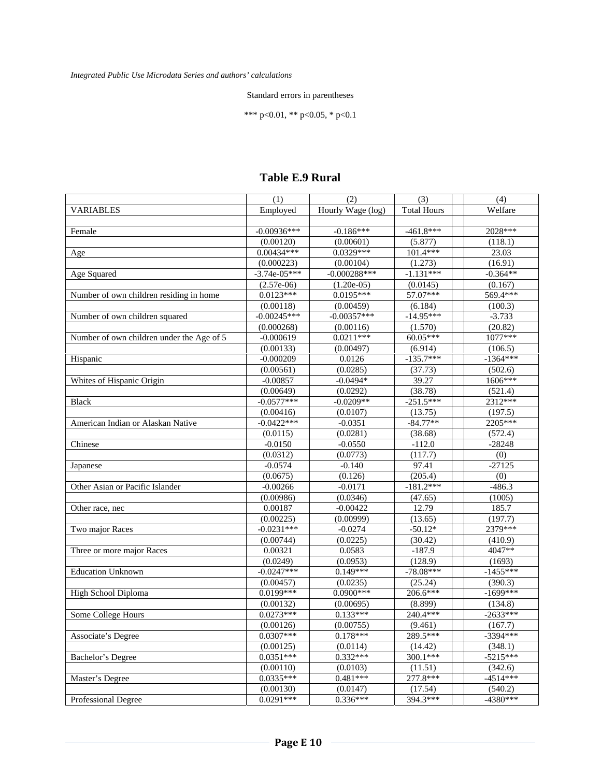#### Standard errors in parentheses

\*\*\* p<0.01, \*\* p<0.05, \* p<0.1

|                                           | (1)            | (2)               | (3)                | (4)        |
|-------------------------------------------|----------------|-------------------|--------------------|------------|
| <b>VARIABLES</b>                          | Employed       | Hourly Wage (log) | <b>Total Hours</b> | Welfare    |
|                                           |                |                   |                    |            |
| Female                                    | $-0.00936***$  | $-0.186***$       | $-461.8***$        | 2028***    |
|                                           | (0.00120)      | (0.00601)         | (5.877)            | (118.1)    |
| Age                                       | $0.00434***$   | $0.0329***$       | $101.4***$         | 23.03      |
|                                           | (0.000223)     | (0.00104)         | (1.273)            | (16.91)    |
| Age Squared                               | $-3.74e-05***$ | $-0.000288***$    | $-1.131***$        | $-0.364**$ |
|                                           | $(2.57e-06)$   | $(1.20e-05)$      | (0.0145)           | (0.167)    |
| Number of own children residing in home   | $0.0123***$    | $0.0195***$       | 57.07***           | 569.4***   |
|                                           | (0.00118)      | (0.00459)         | (6.184)            | (100.3)    |
| Number of own children squared            | $-0.00245***$  | $-0.00357***$     | $-14.95***$        | $-3.733$   |
|                                           | (0.000268)     | (0.00116)         | (1.570)            | (20.82)    |
| Number of own children under the Age of 5 | $-0.000619$    | $0.0211***$       | 60.05***           | 1077***    |
|                                           | (0.00133)      | (0.00497)         | (6.914)            | (106.5)    |
| Hispanic                                  | $-0.000209$    | 0.0126            | $-135.7***$        | $-1364***$ |
|                                           | (0.00561)      | (0.0285)          | (37.73)            | (502.6)    |
| Whites of Hispanic Origin                 | $-0.00857$     | $-0.0494*$        | 39.27              | 1606***    |
|                                           | (0.00649)      | (0.0292)          | (38.78)            | (521.4)    |
| <b>Black</b>                              | $-0.0577***$   | $-0.0209**$       | $-251.5***$        | 2312***    |
|                                           | (0.00416)      | (0.0107)          | (13.75)            | (197.5)    |
| American Indian or Alaskan Native         | $-0.0422***$   | $-0.0351$         | $-84.77**$         | 2205***    |
|                                           | (0.0115)       | (0.0281)          | (38.68)            | (572.4)    |
| Chinese                                   | $-0.0150$      | $-0.0550$         | $-112.0$           | $-28248$   |
|                                           | (0.0312)       | (0.0773)          | (117.7)            | (0)        |
| Japanese                                  | $-0.0574$      | $-0.140$          | 97.41              | $-27125$   |
|                                           | (0.0675)       | (0.126)           | (205.4)            | (0)        |
| Other Asian or Pacific Islander           | $-0.00266$     | $-0.0171$         | $-181.2***$        | $-486.3$   |
|                                           | (0.00986)      | (0.0346)          | (47.65)            | (1005)     |
| Other race, nec                           | 0.00187        | $-0.00422$        | 12.79              | 185.7      |
|                                           | (0.00225)      | (0.00999)         | (13.65)            | (197.7)    |
| Two major Races                           | $-0.0231***$   | $-0.0274$         | $-50.12*$          | 2379***    |
|                                           | (0.00744)      | (0.0225)          | (30.42)            | (410.9)    |
| Three or more major Races                 | 0.00321        | 0.0583            | $-187.9$           | $4047**$   |
|                                           | (0.0249)       | (0.0953)          | (128.9)            | (1693)     |
| <b>Education Unknown</b>                  | $-0.0247***$   | $0.149***$        | $-78.08***$        | $-1455***$ |
|                                           | (0.00457)      | (0.0235)          | (25.24)            | (390.3)    |
| High School Diploma                       | $0.0199***$    | $0.0900***$       | 206.6***           | $-1699***$ |
|                                           | (0.00132)      | (0.00695)         | (8.899)            | (134.8)    |
| Some College Hours                        | $0.0273***$    | $0.133***$        | 240.4***           | $-2633***$ |
|                                           | (0.00126)      | (0.00755)         | (9.461)            | (167.7)    |
| Associate's Degree                        | $0.0307***$    | $0.178***$        | 289.5***           | $-3394***$ |
|                                           | (0.00125)      | (0.0114)          | (14.42)            | (348.1)    |
| Bachelor's Degree                         | $0.0351***$    | $0.332***$        | 300.1***           | $-5215***$ |
|                                           | (0.00110)      | (0.0103)          | (11.51)            | (342.6)    |
| Master's Degree                           | $0.0335***$    | $0.481***$        | 277.8***           | $-4514***$ |
|                                           | (0.00130)      | (0.0147)          | (17.54)            | (540.2)    |
| Professional Degree                       | $0.0291***$    | $0.336***$        | 394.3***           | $-4380***$ |
|                                           |                |                   |                    |            |

### **Table E.9 Rural**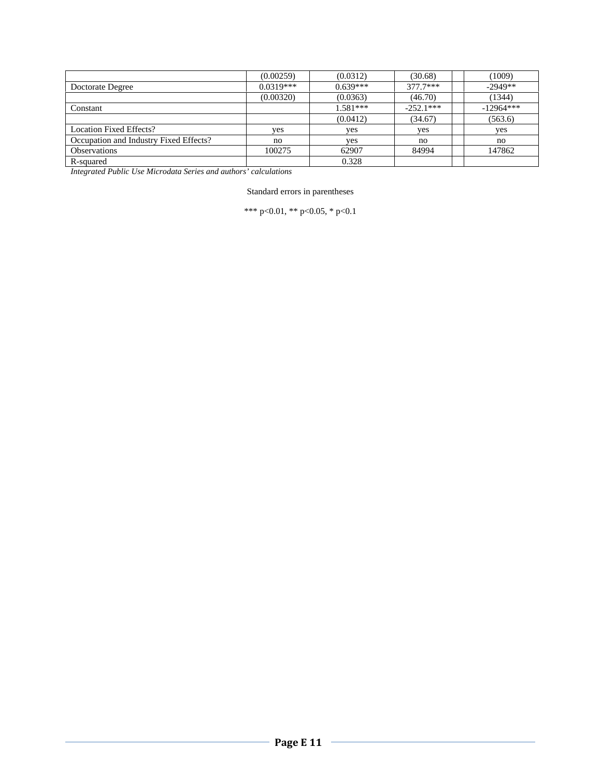|                                        | (0.00259)   | (0.0312)   | (30.68)     | (1009)      |
|----------------------------------------|-------------|------------|-------------|-------------|
| Doctorate Degree                       | $0.0319***$ | $0.639***$ | $377.7***$  | $-2949**$   |
|                                        | (0.00320)   | (0.0363)   | (46.70)     | (1344)      |
| Constant                               |             | $1.581***$ | $-252.1***$ | $-12964***$ |
|                                        |             | (0.0412)   | (34.67)     | (563.6)     |
| Location Fixed Effects?                | yes         | ves        | ves         | yes         |
| Occupation and Industry Fixed Effects? | no          | yes        | no          | no          |
| <b>Observations</b>                    | 100275      | 62907      | 84994       | 147862      |
| R-squared                              |             | 0.328      |             |             |

Standard errors in parentheses

\*\*\* p<0.01, \*\* p<0.05, \* p<0.1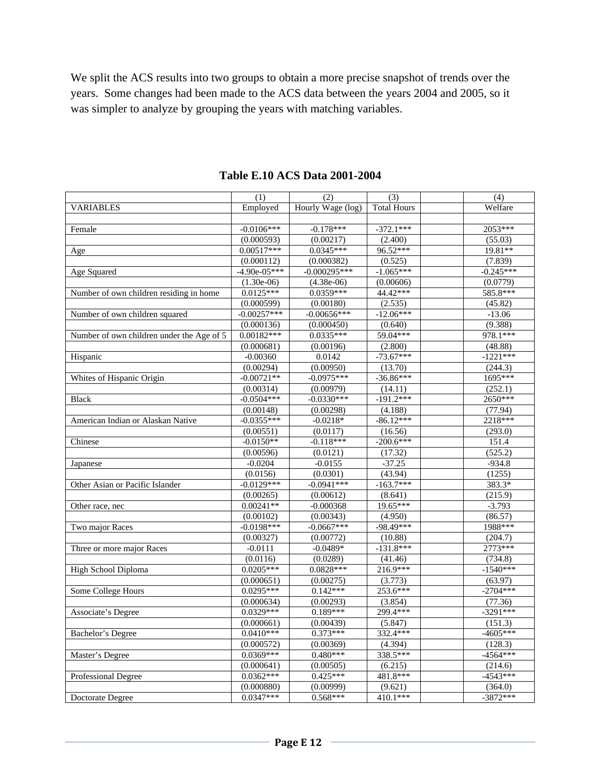We split the ACS results into two groups to obtain a more precise snapshot of trends over the years. Some changes had been made to the ACS data between the years 2004 and 2005, so it was simpler to analyze by grouping the years with matching variables.

|                                           | (1)                       | (2)                       | (3)                    | (4)                |
|-------------------------------------------|---------------------------|---------------------------|------------------------|--------------------|
| <b>VARIABLES</b>                          | Employed                  | Hourly Wage (log)         | <b>Total Hours</b>     | Welfare            |
|                                           |                           |                           |                        |                    |
| Female                                    | $-0.0106***$              | $-0.178***$               | $-372.1***$            | 2053***            |
|                                           | (0.000593)                | (0.00217)                 | (2.400)                | (55.03)            |
| Age                                       | $0.00517***$              | $0.0345***$               | 96.52***               | 19.81**            |
|                                           | (0.000112)                | (0.000382)                | (0.525)                | (7.839)            |
| Age Squared                               | $-4.90e-05***$            | $-0.000295***$            | $-1.065***$            | $-0.245***$        |
|                                           | $(1.30e-06)$              | $(4.38e-06)$              | (0.00606)              | (0.0779)           |
| Number of own children residing in home   | $0.0125***$               | $0.0359***$               | 44.42***               | 585.8***           |
|                                           | (0.000599)                | (0.00180)                 | (2.535)                | (45.82)            |
| Number of own children squared            | $-0.00257***$             | $-0.00656***$             | $-12.06***$            | $-13.06$           |
|                                           | (0.000136)                | (0.000450)                | (0.640)                | (9.388)            |
| Number of own children under the Age of 5 | $0.00182***$              | $0.0335***$               | 59.04***               | 978.1***           |
|                                           | (0.000681)                | (0.00196)                 | (2.800)                | (48.88)            |
| Hispanic                                  | $-0.00360$                | 0.0142                    | $-73.67***$            | $-1221***$         |
|                                           | (0.00294)                 | (0.00950)                 | (13.70)                | (244.3)            |
| Whites of Hispanic Origin                 | $-0.00721**$              | $-0.0975***$              | $-36.86***$            | 1695***            |
|                                           | (0.00314)                 | (0.00979)                 | (14.11)                | (252.1)            |
| <b>Black</b>                              | $-0.0504***$              | $-0.0330***$              | $-191.2***$            | $2650***$          |
|                                           | (0.00148)                 | (0.00298)                 | (4.188)                | (77.94)            |
| American Indian or Alaskan Native         | $-0.0355***$              | $-0.0218*$                | $-86.12***$            | 2218***            |
|                                           | (0.00551)                 | (0.0117)                  | (16.56)                | (293.0)            |
| Chinese                                   | $-0.0150**$               | $-0.118***$               | $-200.6***$            | 151.4              |
|                                           | (0.00596)                 |                           | (17.32)                | (525.2)            |
| <b>Japanese</b>                           | $-0.0204$                 | (0.0121)<br>$-0.0155$     | $-37.25$               | $-934.8$           |
|                                           | (0.0156)                  | (0.0301)                  | (43.94)                | (1255)             |
| Other Asian or Pacific Islander           | $-0.0129***$              | $-0.0941***$              | $-163.7***$            | 383.3*             |
|                                           |                           |                           |                        | (215.9)            |
|                                           | (0.00265)<br>$0.00241**$  | (0.00612)                 | (8.641)<br>19.65***    |                    |
| Other race, nec                           |                           | $-0.000368$               |                        | $-3.793$           |
|                                           | (0.00102)<br>$-0.0198***$ | (0.00343)<br>$-0.0667***$ | (4.950)<br>$-98.49***$ | (86.57)<br>1988*** |
| Two major Races                           |                           |                           |                        |                    |
|                                           | (0.00327)                 | (0.00772)                 | (10.88)                | (204.7)            |
| Three or more major Races                 | $-0.0111$                 | $-0.0489*$                | $-131.8***$            | 2773***            |
|                                           | (0.0116)                  | (0.0289)                  | (41.46)                | (734.8)            |
| High School Diploma                       | $0.0205***$               | $0.0828***$               | 216.9***               | $-1540***$         |
|                                           | (0.000651)                | (0.00275)                 | (3.773)                | (63.97)            |
| Some College Hours                        | $0.0295***$               | $0.142***$                | 253.6***               | $-2704***$         |
|                                           | (0.000634)                | (0.00293)                 | (3.854)                | (77.36)            |
| Associate's Degree                        | $0.0329***$               | $0.189***$                | 299.4***               | $-3291***$         |
|                                           | (0.000661)                | (0.00439)                 | (5.847)                | (151.3)            |
| <b>Bachelor's Degree</b>                  | $0.0410***$               | $0.373***$                | 332.4***               | $-4605***$         |
|                                           | (0.000572)                | (0.00369)                 | (4.394)                | (128.3)            |
| Master's Degree                           | $0.0369***$               | $0.480***$                | 338.5***               | $-4564***$         |
|                                           | (0.000641)                | (0.00505)                 | (6.215)                | (214.6)            |
| Professional Degree                       | $0.0362***$               | $0.425***$                | 481.8***               | $-4543***$         |
|                                           | (0.000880)                | (0.00999)                 | (9.621)                | (364.0)            |
| Doctorate Degree                          | $0.0347***$               | $0.568***$                | 410.1***               | $-3872***$         |

**Table E.10 ACS Data 2001-2004**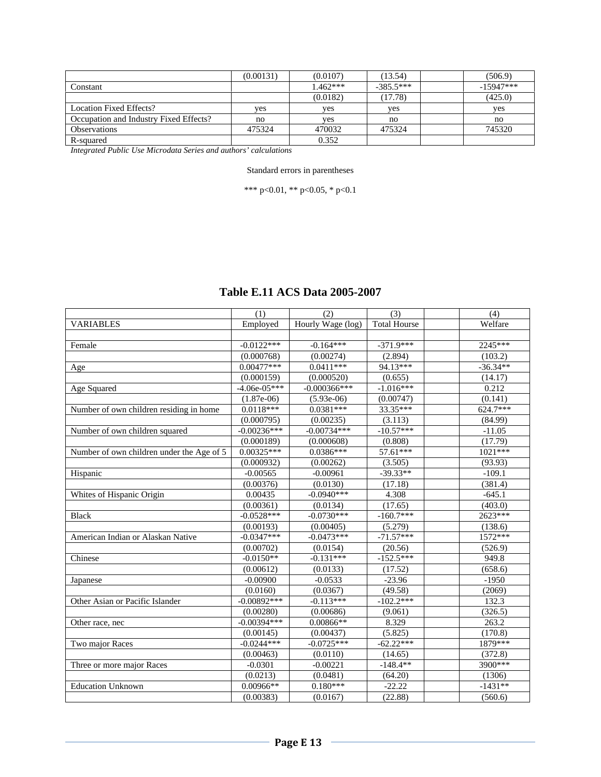|                                        | (0.00131) | (0.0107)   | (13.54)     | (506.9)     |
|----------------------------------------|-----------|------------|-------------|-------------|
| Constant                               |           | $1.462***$ | $-385.5***$ | $-15947***$ |
|                                        |           | (0.0182)   | (17.78)     | (425.0)     |
| Location Fixed Effects?                | ves       | yes        | yes         | yes         |
| Occupation and Industry Fixed Effects? | no        | yes        | no          | no          |
| <b>Observations</b>                    | 475324    | 470032     | 475324      | 745320      |
| R-squared                              |           | 0.352      |             |             |

#### Standard errors in parentheses

\*\*\* p<0.01, \*\* p<0.05, \* p<0.1

|                                           | (1)            | (2)               | (3)                 | (4)        |
|-------------------------------------------|----------------|-------------------|---------------------|------------|
| <b>VARIABLES</b>                          | Employed       | Hourly Wage (log) | <b>Total Hourse</b> | Welfare    |
|                                           |                |                   |                     |            |
| Female                                    | $-0.0122***$   | $-0.164***$       | $-371.9***$         | 2245***    |
|                                           | (0.000768)     | (0.00274)         | (2.894)             | (103.2)    |
| Age                                       | $0.00477***$   | $0.0411***$       | 94.13***            | $-36.34**$ |
|                                           | (0.000159)     | (0.000520)        | (0.655)             | (14.17)    |
| Age Squared                               | $-4.06e-05***$ | $-0.000366$ ***   | $-1.016***$         | 0.212      |
|                                           | $(1.87e-06)$   | $(5.93e-06)$      | (0.00747)           | (0.141)    |
| Number of own children residing in home   | $0.0118***$    | $0.0381***$       | 33.35***            | 624.7***   |
|                                           | (0.000795)     | (0.00235)         | (3.113)             | (84.99)    |
| Number of own children squared            | $-0.00236***$  | $-0.00734***$     | $-10.57***$         | $-11.05$   |
|                                           | (0.000189)     | (0.000608)        | (0.808)             | (17.79)    |
| Number of own children under the Age of 5 | $0.00325***$   | $0.0386***$       | 57.61***            | 1021***    |
|                                           | (0.000932)     | (0.00262)         | (3.505)             | (93.93)    |
| Hispanic                                  | $-0.00565$     | $-0.00961$        | $-39.33**$          | $-109.1$   |
|                                           | (0.00376)      | (0.0130)          | (17.18)             | (381.4)    |
| Whites of Hispanic Origin                 | 0.00435        | $-0.0940***$      | 4.308               | $-645.1$   |
|                                           | (0.00361)      | (0.0134)          | (17.65)             | (403.0)    |
| <b>Black</b>                              | $-0.0528***$   | $-0.0730***$      | $-160.7***$         | $2623***$  |
|                                           | (0.00193)      | (0.00405)         | (5.279)             | (138.6)    |
| American Indian or Alaskan Native         | $-0.0347***$   | $-0.0473***$      | $-71.57***$         | 1572***    |
|                                           | (0.00702)      | (0.0154)          | (20.56)             | (526.9)    |
| Chinese                                   | $-0.0150**$    | $-0.131***$       | $-152.5***$         | 949.8      |
|                                           | (0.00612)      | (0.0133)          | (17.52)             | (658.6)    |
| Japanese                                  | $-0.00900$     | $-0.0533$         | $-23.96$            | $-1950$    |
|                                           | (0.0160)       | (0.0367)          | (49.58)             | (2069)     |
| Other Asian or Pacific Islander           | $-0.00892***$  | $-0.113***$       | $-102.2***$         | 132.3      |
|                                           | (0.00280)      | (0.00686)         | (9.061)             | (326.5)    |
| Other race, nec                           | $-0.00394***$  | $0.00866**$       | 8.329               | 263.2      |
|                                           | (0.00145)      | (0.00437)         | (5.825)             | (170.8)    |
| Two major Races                           | $-0.0244***$   | $-0.0725***$      | $-62.22***$         | 1879***    |
|                                           | (0.00463)      | (0.0110)          | (14.65)             | (372.8)    |
| Three or more major Races                 | $-0.0301$      | $-0.00221$        | $-148.4**$          | 3900***    |
|                                           | (0.0213)       | (0.0481)          | (64.20)             | (1306)     |
| <b>Education Unknown</b>                  | 0.00966**      | $0.180***$        | $-22.22$            | $-1431**$  |
|                                           | (0.00383)      | (0.0167)          | (22.88)             | (560.6)    |

## **Table E.11 ACS Data 2005-2007**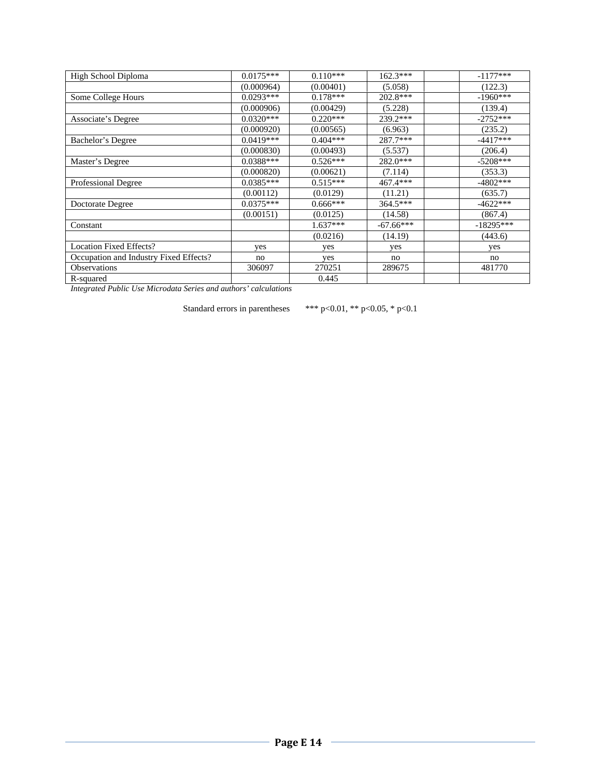| High School Diploma                    | $0.0175***$ | $0.110***$ | $162.3***$  | $-1177***$  |
|----------------------------------------|-------------|------------|-------------|-------------|
|                                        | (0.000964)  | (0.00401)  | (5.058)     | (122.3)     |
| Some College Hours                     | $0.0293***$ | $0.178***$ | $202.8***$  | $-1960***$  |
|                                        | (0.000906)  | (0.00429)  | (5.228)     | (139.4)     |
| Associate's Degree                     | $0.0320***$ | $0.220***$ | 239.2***    | $-2752***$  |
|                                        | (0.000920)  | (0.00565)  | (6.963)     | (235.2)     |
| Bachelor's Degree                      | $0.0419***$ | $0.404***$ | 287.7***    | $-4417***$  |
|                                        | (0.000830)  | (0.00493)  | (5.537)     | (206.4)     |
| Master's Degree                        | $0.0388***$ | $0.526***$ | 282.0***    | $-5208***$  |
|                                        | (0.000820)  | (0.00621)  | (7.114)     | (353.3)     |
| Professional Degree                    | $0.0385***$ | $0.515***$ | 467.4***    | $-4802***$  |
|                                        | (0.00112)   | (0.0129)   | (11.21)     | (635.7)     |
| Doctorate Degree                       | $0.0375***$ | $0.666***$ | 364.5***    | $-4622***$  |
|                                        | (0.00151)   | (0.0125)   | (14.58)     | (867.4)     |
| Constant                               |             | $1.637***$ | $-67.66***$ | $-18295***$ |
|                                        |             | (0.0216)   | (14.19)     | (443.6)     |
| <b>Location Fixed Effects?</b>         | yes         | yes        | yes         | yes         |
| Occupation and Industry Fixed Effects? | no          | yes        | no          | no          |
| Observations                           | 306097      | 270251     | 289675      | 481770      |
| R-squared                              |             | 0.445      |             |             |

Standard errors in parentheses \*\*\* p<0.01, \*\* p<0.05, \* p<0.1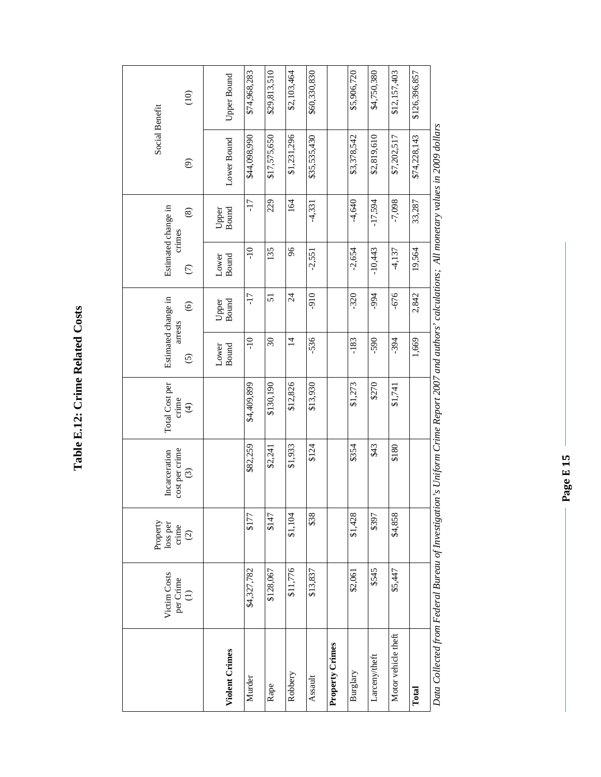Table E.12: Crime Related Costs **Table E.12: Crime Related Costs** 

|                                                                                                                                           | Victim Costs<br>per Crime<br>$(1)$ | Property<br>loss per<br>crime<br>$\odot$ | cost per crime<br>Incarceration<br>$\odot$ | Total Cost per<br>crime<br>$\bigoplus$ | Estimated change in<br>arrests<br>$\odot$ | $\odot$               | Estimated change in<br>crimes<br>$\epsilon$ | $\circledast$         | Social Benefit<br>$\widehat{\mathfrak{G}}$ | $\frac{1}{2}$ |
|-------------------------------------------------------------------------------------------------------------------------------------------|------------------------------------|------------------------------------------|--------------------------------------------|----------------------------------------|-------------------------------------------|-----------------------|---------------------------------------------|-----------------------|--------------------------------------------|---------------|
|                                                                                                                                           |                                    |                                          |                                            |                                        |                                           |                       |                                             |                       |                                            |               |
| Violent Crimes                                                                                                                            |                                    |                                          |                                            |                                        | <b>Bound</b><br>Lower                     | <b>Bound</b><br>Upper | <b>Bound</b><br>Lower                       | <b>Bound</b><br>Upper | Lower Bound                                | Upper Bound   |
| Murder                                                                                                                                    | \$4,327,782                        | \$177                                    | \$82,259                                   | \$4,409,899                            | $-10$                                     | $-17$                 | $-10$                                       | $-17$                 | \$44,098,990                               | \$74,968,283  |
| Rape                                                                                                                                      | \$128,067                          | \$147                                    | \$2,241                                    | \$130,190                              | $\mathfrak{S}0$                           | $\overline{5}$        | 135                                         | 229                   | \$17,575,650                               | \$29,813,510  |
| Robbery                                                                                                                                   | \$11,776                           | \$1,104                                  | \$1,933                                    | \$12,826                               | $\vec{4}$                                 | 24                    | $\frac{8}{2}$                               | 164                   | \$1,231,296                                | \$2,103,464   |
| Assault                                                                                                                                   | \$13,837                           | \$38                                     | \$124                                      | \$13,930                               | $-536$                                    | 016-                  | $-2,551$                                    | $-4,331$              | \$35,535,430                               | \$60,330,830  |
| Property Crimes                                                                                                                           |                                    |                                          |                                            |                                        |                                           |                       |                                             |                       |                                            |               |
| Burglary                                                                                                                                  | \$2,061                            | \$1,428                                  | \$354                                      | \$1,273                                | $-183$                                    | $-320$                | $-2,654$                                    | $-4,640$              | \$3,378,542                                | \$5,906,720   |
| Larceny/theft                                                                                                                             | \$545                              | \$397                                    | \$43                                       | \$270                                  | -590                                      | -994                  | $-10,443$                                   | $-17,594$             | \$2,819,610                                | \$4,750,380   |
| Motor vehicle theft                                                                                                                       | \$5,447                            | \$4,858                                  | \$180                                      | \$1,741                                | $-394$                                    | $-676$                | $-4,137$                                    | $-7,098$              | \$7,202,517                                | \$12,157,403  |
| Total                                                                                                                                     |                                    |                                          |                                            |                                        | 1,669                                     | 2,842                 | 19,564                                      | 33,287                | \$74,228,143                               | \$126,396,857 |
| Data Collacted from Radard Russau of Invocitorion's Uniform Crima Ranort 2007 and authors' orlaritoric All monotam values in 2000 dollars |                                    |                                          |                                            |                                        |                                           |                       |                                             |                       |                                            |               |

Data Collected from Federal Bureau of Investigation's Uniform Crime Report 2007 and authors' calculations; All monetary values in 2009 dollars *Data Collected from Federal Bureau of Investigation's Uniform Crime Report 2007 and authors' calculations; All monetary values in 2009 dollars*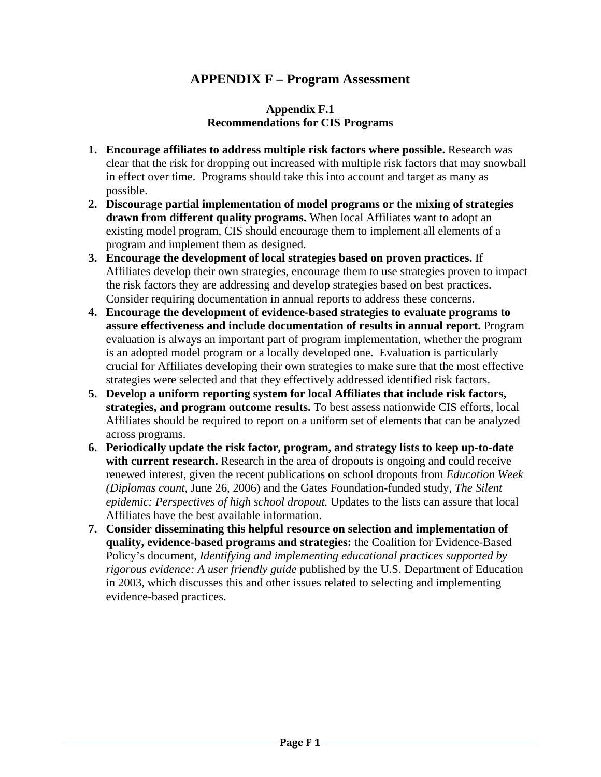## **APPENDIX F – Program Assessment**

### **Appendix F.1 Recommendations for CIS Programs**

- **1. Encourage affiliates to address multiple risk factors where possible.** Research was clear that the risk for dropping out increased with multiple risk factors that may snowball in effect over time. Programs should take this into account and target as many as possible.
- **2. Discourage partial implementation of model programs or the mixing of strategies drawn from different quality programs.** When local Affiliates want to adopt an existing model program, CIS should encourage them to implement all elements of a program and implement them as designed.
- **3. Encourage the development of local strategies based on proven practices.** If Affiliates develop their own strategies, encourage them to use strategies proven to impact the risk factors they are addressing and develop strategies based on best practices. Consider requiring documentation in annual reports to address these concerns.
- **4. Encourage the development of evidence-based strategies to evaluate programs to assure effectiveness and include documentation of results in annual report.** Program evaluation is always an important part of program implementation, whether the program is an adopted model program or a locally developed one. Evaluation is particularly crucial for Affiliates developing their own strategies to make sure that the most effective strategies were selected and that they effectively addressed identified risk factors.
- **5. Develop a uniform reporting system for local Affiliates that include risk factors, strategies, and program outcome results.** To best assess nationwide CIS efforts, local Affiliates should be required to report on a uniform set of elements that can be analyzed across programs.
- **6. Periodically update the risk factor, program, and strategy lists to keep up-to-date**  with current research. Research in the area of dropouts is ongoing and could receive renewed interest, given the recent publications on school dropouts from *Education Week (Diplomas count,* June 26, 2006) and the Gates Foundation-funded study, *The Silent epidemic: Perspectives of high school dropout.* Updates to the lists can assure that local Affiliates have the best available information.
- **7. Consider disseminating this helpful resource on selection and implementation of quality, evidence-based programs and strategies:** the Coalition for Evidence-Based Policy's document, *Identifying and implementing educational practices supported by rigorous evidence: A user friendly guide* published by the U.S. Department of Education in 2003, which discusses this and other issues related to selecting and implementing evidence-based practices.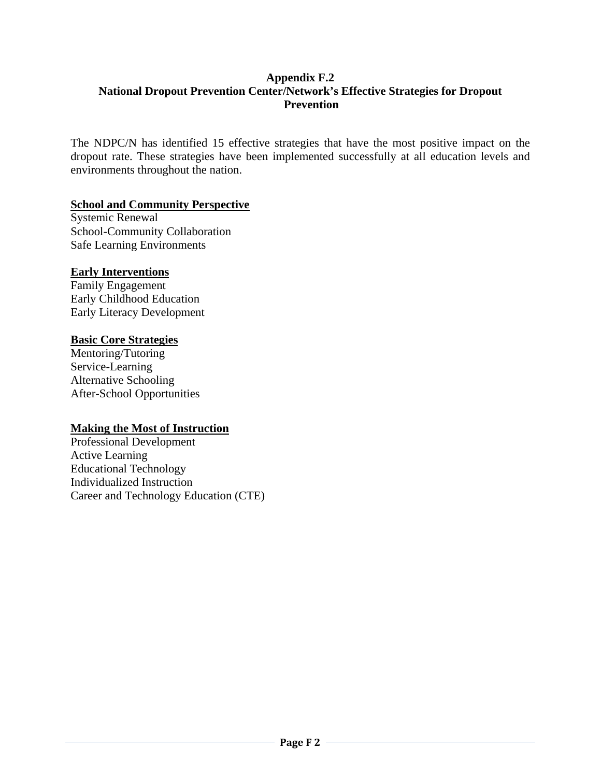## **Appendix F.2 National Dropout Prevention Center/Network's Effective Strategies for Dropout Prevention**

The NDPC/N has identified 15 effective strategies that have the most positive impact on the dropout rate. These strategies have been implemented successfully at all education levels and environments throughout the nation.

### **School and Community Perspective**

Systemic Renewal School-Community Collaboration Safe Learning Environments

### **Early Interventions**

Family Engagement Early Childhood Education Early Literacy Development

### **Basic Core Strategies**

Mentoring/Tutoring Service-Learning Alternative Schooling After-School Opportunities

### **Making the Most of Instruction**

Professional Development Active Learning Educational Technology Individualized Instruction Career and Technology Education (CTE)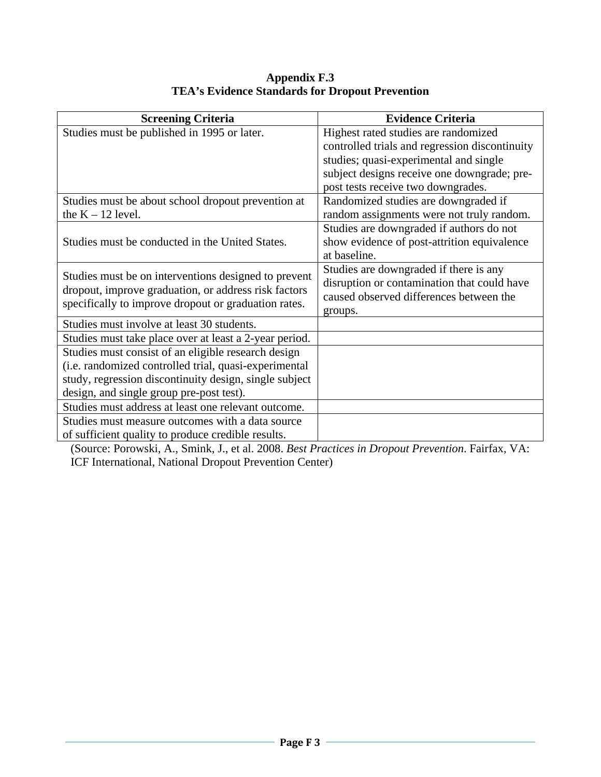### **Appendix F.3 TEA's Evidence Standards for Dropout Prevention**

| <b>Screening Criteria</b>                              | <b>Evidence Criteria</b>                       |
|--------------------------------------------------------|------------------------------------------------|
| Studies must be published in 1995 or later.            | Highest rated studies are randomized           |
|                                                        | controlled trials and regression discontinuity |
|                                                        | studies; quasi-experimental and single         |
|                                                        | subject designs receive one downgrade; pre-    |
|                                                        | post tests receive two downgrades.             |
| Studies must be about school dropout prevention at     | Randomized studies are downgraded if           |
| the $K - 12$ level.                                    | random assignments were not truly random.      |
|                                                        | Studies are downgraded if authors do not       |
| Studies must be conducted in the United States.        | show evidence of post-attrition equivalence    |
|                                                        | at baseline.                                   |
| Studies must be on interventions designed to prevent   | Studies are downgraded if there is any         |
| dropout, improve graduation, or address risk factors   | disruption or contamination that could have    |
| specifically to improve dropout or graduation rates.   | caused observed differences between the        |
|                                                        | groups.                                        |
| Studies must involve at least 30 students.             |                                                |
| Studies must take place over at least a 2-year period. |                                                |
| Studies must consist of an eligible research design    |                                                |
| (i.e. randomized controlled trial, quasi-experimental  |                                                |
| study, regression discontinuity design, single subject |                                                |
| design, and single group pre-post test).               |                                                |
| Studies must address at least one relevant outcome.    |                                                |
| Studies must measure outcomes with a data source       |                                                |
| of sufficient quality to produce credible results.     |                                                |

(Source: Porowski, A., Smink, J., et al. 2008. *Best Practices in Dropout Prevention*. Fairfax, VA: ICF International, National Dropout Prevention Center)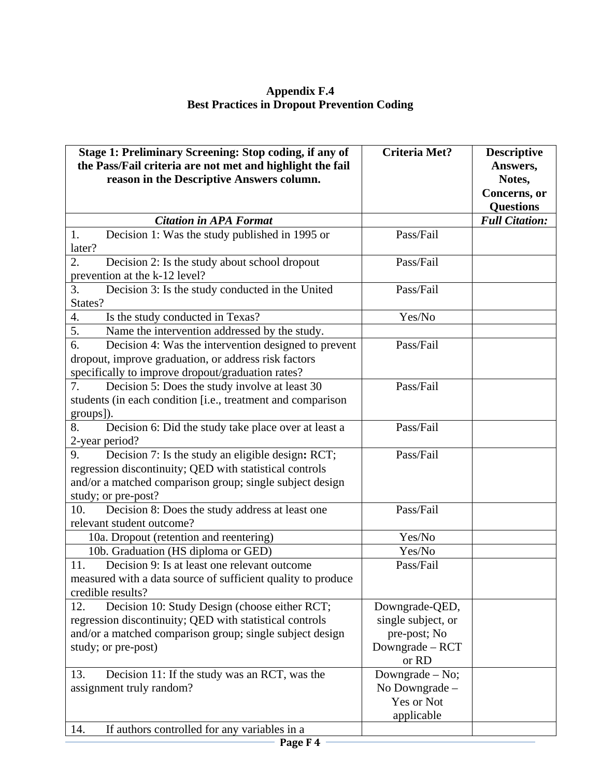**Appendix F.4 Best Practices in Dropout Prevention Coding** 

| Stage 1: Preliminary Screening: Stop coding, if any of<br>the Pass/Fail criteria are not met and highlight the fail | <b>Criteria Met?</b>         | <b>Descriptive</b><br>Answers, |
|---------------------------------------------------------------------------------------------------------------------|------------------------------|--------------------------------|
| reason in the Descriptive Answers column.                                                                           |                              | Notes,<br>Concerns, or         |
|                                                                                                                     |                              | <b>Questions</b>               |
| <b>Citation in APA Format</b>                                                                                       |                              | <b>Full Citation:</b>          |
| Decision 1: Was the study published in 1995 or<br>1.                                                                | Pass/Fail                    |                                |
| later?                                                                                                              |                              |                                |
| 2.<br>Decision 2: Is the study about school dropout                                                                 | Pass/Fail                    |                                |
| prevention at the k-12 level?                                                                                       |                              |                                |
| 3.<br>Decision 3: Is the study conducted in the United                                                              | Pass/Fail                    |                                |
| States?                                                                                                             |                              |                                |
| 4.<br>Is the study conducted in Texas?                                                                              | Yes/No                       |                                |
| 5.<br>Name the intervention addressed by the study.                                                                 |                              |                                |
| 6.<br>Decision 4: Was the intervention designed to prevent                                                          | Pass/Fail                    |                                |
| dropout, improve graduation, or address risk factors                                                                |                              |                                |
| specifically to improve dropout/graduation rates?<br>7.                                                             | Pass/Fail                    |                                |
| Decision 5: Does the study involve at least 30<br>students (in each condition [i.e., treatment and comparison       |                              |                                |
| groups]).                                                                                                           |                              |                                |
| Decision 6: Did the study take place over at least a<br>8.                                                          | Pass/Fail                    |                                |
| 2-year period?                                                                                                      |                              |                                |
| Decision 7: Is the study an eligible design: RCT;<br>9.                                                             | Pass/Fail                    |                                |
| regression discontinuity; QED with statistical controls                                                             |                              |                                |
| and/or a matched comparison group; single subject design                                                            |                              |                                |
| study; or pre-post?                                                                                                 |                              |                                |
| 10.<br>Decision 8: Does the study address at least one                                                              | Pass/Fail                    |                                |
| relevant student outcome?                                                                                           |                              |                                |
| 10a. Dropout (retention and reentering)                                                                             | Yes/No                       |                                |
| 10b. Graduation (HS diploma or GED)                                                                                 | Yes/No                       |                                |
| Decision 9: Is at least one relevant outcome<br>11.                                                                 | Pass/Fail                    |                                |
| measured with a data source of sufficient quality to produce                                                        |                              |                                |
| credible results?                                                                                                   |                              |                                |
| Decision 10: Study Design (choose either RCT;<br>12.                                                                | Downgrade-QED,               |                                |
| regression discontinuity; QED with statistical controls                                                             | single subject, or           |                                |
| and/or a matched comparison group; single subject design                                                            | pre-post; No                 |                                |
| study; or pre-post)                                                                                                 | Downgrade - RCT              |                                |
|                                                                                                                     | or RD                        |                                |
| 13.<br>Decision 11: If the study was an RCT, was the                                                                | Downgrade $-$ No;            |                                |
| assignment truly random?                                                                                            | No Downgrade -<br>Yes or Not |                                |
|                                                                                                                     | applicable                   |                                |
| If authors controlled for any variables in a<br>14.                                                                 |                              |                                |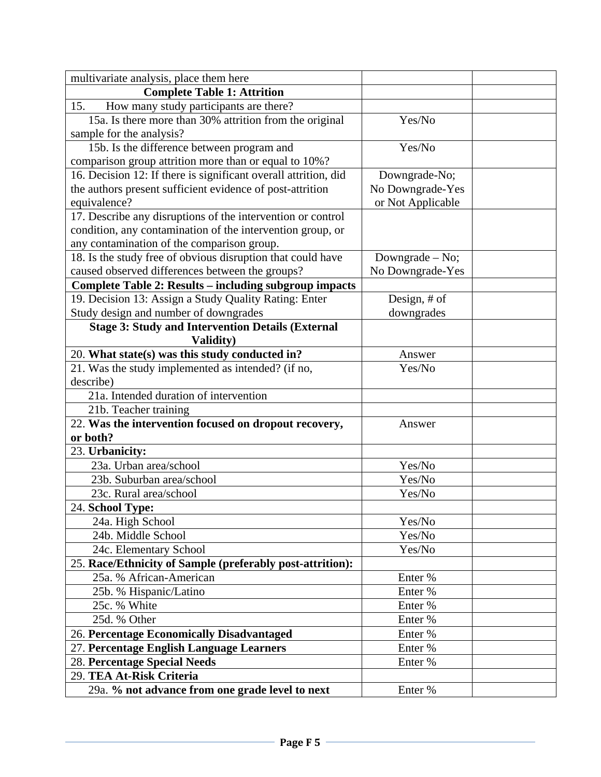| multivariate analysis, place them here                          |                   |  |
|-----------------------------------------------------------------|-------------------|--|
| <b>Complete Table 1: Attrition</b>                              |                   |  |
| How many study participants are there?<br>15.                   |                   |  |
| 15a. Is there more than 30% attrition from the original         | Yes/No            |  |
| sample for the analysis?                                        |                   |  |
| 15b. Is the difference between program and                      | Yes/No            |  |
| comparison group attrition more than or equal to 10%?           |                   |  |
| 16. Decision 12: If there is significant overall attrition, did | Downgrade-No;     |  |
| the authors present sufficient evidence of post-attrition       | No Downgrade-Yes  |  |
| equivalence?                                                    | or Not Applicable |  |
| 17. Describe any disruptions of the intervention or control     |                   |  |
| condition, any contamination of the intervention group, or      |                   |  |
| any contamination of the comparison group.                      |                   |  |
| 18. Is the study free of obvious disruption that could have     | Downgrade $-$ No; |  |
| caused observed differences between the groups?                 | No Downgrade-Yes  |  |
| <b>Complete Table 2: Results – including subgroup impacts</b>   |                   |  |
| 19. Decision 13: Assign a Study Quality Rating: Enter           | Design, # of      |  |
| Study design and number of downgrades                           | downgrades        |  |
| <b>Stage 3: Study and Intervention Details (External</b>        |                   |  |
| Validity)                                                       |                   |  |
| 20. What state(s) was this study conducted in?                  | Answer            |  |
| 21. Was the study implemented as intended? (if no,              | Yes/No            |  |
| describe)                                                       |                   |  |
| 21a. Intended duration of intervention                          |                   |  |
| 21b. Teacher training                                           |                   |  |
| 22. Was the intervention focused on dropout recovery,           | Answer            |  |
| or both?                                                        |                   |  |
| 23. Urbanicity:                                                 |                   |  |
| 23a. Urban area/school                                          | Yes/No            |  |
| 23b. Suburban area/school                                       | Yes/No            |  |
| 23c. Rural area/school                                          | Yes/No            |  |
| 24. School Type:                                                |                   |  |
| 24a. High School                                                | Yes/No            |  |
| 24b. Middle School                                              | Yes/No            |  |
| 24c. Elementary School                                          | Yes/No            |  |
| 25. Race/Ethnicity of Sample (preferably post-attrition):       |                   |  |
| 25a. % African-American                                         | Enter %           |  |
| 25b. % Hispanic/Latino                                          | Enter %           |  |
| 25c. % White                                                    | Enter %           |  |
| 25d. % Other                                                    | Enter %           |  |
| 26. Percentage Economically Disadvantaged                       | Enter %           |  |
| 27. Percentage English Language Learners                        | Enter %           |  |
| 28. Percentage Special Needs                                    | Enter %           |  |
| 29. TEA At-Risk Criteria                                        |                   |  |
| 29a. % not advance from one grade level to next                 | Enter %           |  |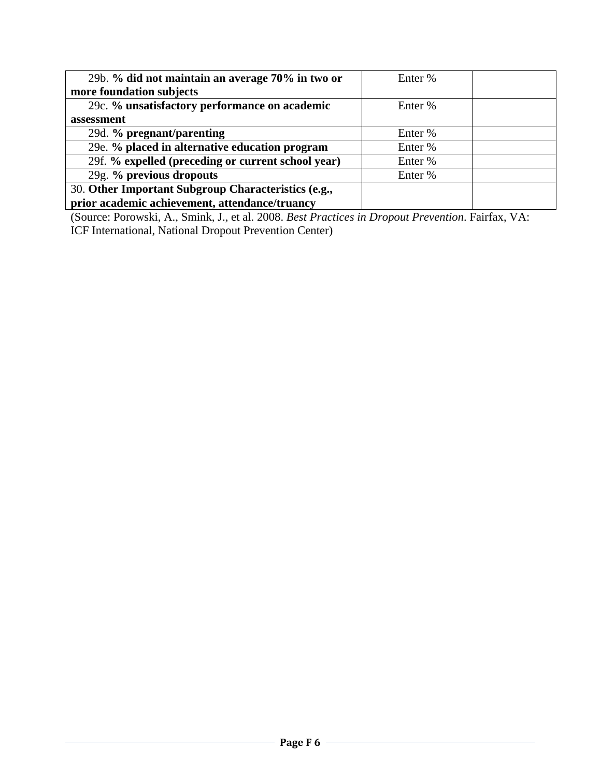| 29b. % did not maintain an average 70% in two or    | Enter % |  |
|-----------------------------------------------------|---------|--|
| more foundation subjects                            |         |  |
| 29c. % unsatisfactory performance on academic       | Enter % |  |
| assessment                                          |         |  |
| 29d. % pregnant/parenting                           | Enter % |  |
| 29e. % placed in alternative education program      | Enter % |  |
| 29f. % expelled (preceding or current school year)  | Enter % |  |
| 29g. % previous dropouts                            | Enter % |  |
| 30. Other Important Subgroup Characteristics (e.g., |         |  |
| prior academic achievement, attendance/truancy      |         |  |

(Source: Porowski, A., Smink, J., et al. 2008. *Best Practices in Dropout Prevention*. Fairfax, VA: ICF International, National Dropout Prevention Center)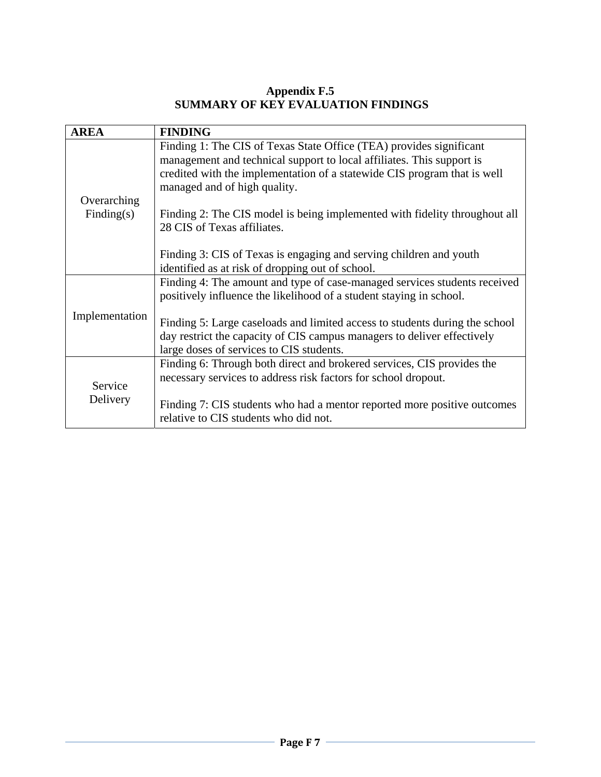## **Appendix F.5 SUMMARY OF KEY EVALUATION FINDINGS**

| <b>AREA</b>    | <b>FINDING</b>                                                                                                                                                                                                                                           |
|----------------|----------------------------------------------------------------------------------------------------------------------------------------------------------------------------------------------------------------------------------------------------------|
| Overarching    | Finding 1: The CIS of Texas State Office (TEA) provides significant<br>management and technical support to local affiliates. This support is<br>credited with the implementation of a statewide CIS program that is well<br>managed and of high quality. |
| Finding(s)     | Finding 2: The CIS model is being implemented with fidelity throughout all<br>28 CIS of Texas affiliates.                                                                                                                                                |
|                | Finding 3: CIS of Texas is engaging and serving children and youth<br>identified as at risk of dropping out of school.                                                                                                                                   |
|                | Finding 4: The amount and type of case-managed services students received<br>positively influence the likelihood of a student staying in school.                                                                                                         |
| Implementation | Finding 5: Large caseloads and limited access to students during the school<br>day restrict the capacity of CIS campus managers to deliver effectively<br>large doses of services to CIS students.                                                       |
| Service        | Finding 6: Through both direct and brokered services, CIS provides the<br>necessary services to address risk factors for school dropout.                                                                                                                 |
| Delivery       | Finding 7: CIS students who had a mentor reported more positive outcomes<br>relative to CIS students who did not.                                                                                                                                        |